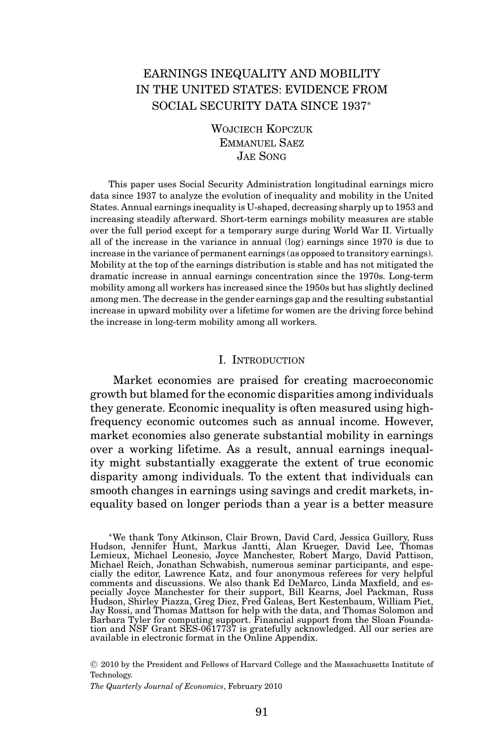# EARNINGS INEQUALITY AND MOBILITY IN THE UNITED STATES: EVIDENCE FROM SOCIAL SECURITY DATA SINCE 1937<sup>∗</sup>

# WOJCIECH KOPCZUK EMMANUEL SAEZ JAE SONG

This paper uses Social Security Administration longitudinal earnings micro data since 1937 to analyze the evolution of inequality and mobility in the United States. Annual earnings inequality is U-shaped, decreasing sharply up to 1953 and increasing steadily afterward. Short-term earnings mobility measures are stable over the full period except for a temporary surge during World War II. Virtually all of the increase in the variance in annual (log) earnings since 1970 is due to increase in the variance of permanent earnings (as opposed to transitory earnings). Mobility at the top of the earnings distribution is stable and has not mitigated the dramatic increase in annual earnings concentration since the 1970s. Long-term mobility among all workers has increased since the 1950s but has slightly declined among men. The decrease in the gender earnings gap and the resulting substantial increase in upward mobility over a lifetime for women are the driving force behind the increase in long-term mobility among all workers.

### I. INTRODUCTION

Market economies are praised for creating macroeconomic growth but blamed for the economic disparities among individuals they generate. Economic inequality is often measured using highfrequency economic outcomes such as annual income. However, market economies also generate substantial mobility in earnings over a working lifetime. As a result, annual earnings inequality might substantially exaggerate the extent of true economic disparity among individuals. To the extent that individuals can smooth changes in earnings using savings and credit markets, inequality based on longer periods than a year is a better measure

<sup>∗</sup>We thank Tony Atkinson, Clair Brown, David Card, Jessica Guillory, Russ Hudson, Jennifer Hunt, Markus Jantti, Alan Krueger, David Lee, Thomas Lemieux, Michael Leonesio, Joyce Manchester, Robert Margo, David Pattison, Michael Reich, Jonathan Schwabish, numerous seminar participants, and especially the editor, Lawrence Katz, and four anonymous referees for very helpful comments and discussions. We also thank Ed DeMarco, Linda Maxfield, and es-<br>pecially Joyce Manchester for their support, Bill Kearns, Joel Packman, Russ<br>Hudson, Shirley Piazza, Greg Diez, Fred Galeas, Bert Kestenbaum, Will Jay Rossi, and Thomas Mattson for help with the data, and Thomas Solomon and Barbara Tyler for computing support. Financial support from the Sloan Foundation and NSF Grant SES-0617737 is gratefully acknowledged. All our series are available in electronic format in the Online Appendix.

<sup>C</sup> 2010 by the President and Fellows of Harvard College and the Massachusetts Institute of Technology.

*The Quarterly Journal of Economics*, February 2010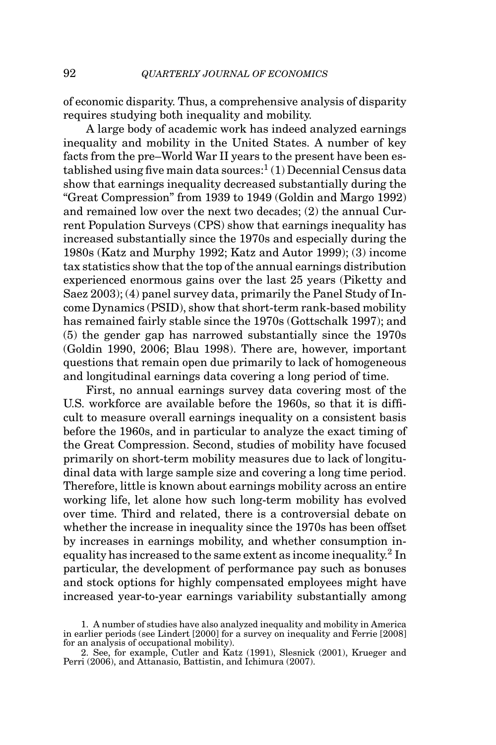of economic disparity. Thus, a comprehensive analysis of disparity requires studying both inequality and mobility.

A large body of academic work has indeed analyzed earnings inequality and mobility in the United States. A number of key facts from the pre–World War II years to the present have been established using five main data sources: $1(1)$  Decennial Census data show that earnings inequality decreased substantially during the "Great Compression" from 1939 to 1949 (Goldin and Margo 1992) and remained low over the next two decades; (2) the annual Current Population Surveys (CPS) show that earnings inequality has increased substantially since the 1970s and especially during the 1980s (Katz and Murphy 1992; Katz and Autor 1999); (3) income tax statistics show that the top of the annual earnings distribution experienced enormous gains over the last 25 years (Piketty and Saez 2003); (4) panel survey data, primarily the Panel Study of Income Dynamics (PSID), show that short-term rank-based mobility has remained fairly stable since the 1970s (Gottschalk 1997); and (5) the gender gap has narrowed substantially since the 1970s (Goldin 1990, 2006; Blau 1998). There are, however, important questions that remain open due primarily to lack of homogeneous and longitudinal earnings data covering a long period of time.

First, no annual earnings survey data covering most of the U.S. workforce are available before the 1960s, so that it is difficult to measure overall earnings inequality on a consistent basis before the 1960s, and in particular to analyze the exact timing of the Great Compression. Second, studies of mobility have focused primarily on short-term mobility measures due to lack of longitudinal data with large sample size and covering a long time period. Therefore, little is known about earnings mobility across an entire working life, let alone how such long-term mobility has evolved over time. Third and related, there is a controversial debate on whether the increase in inequality since the 1970s has been offset by increases in earnings mobility, and whether consumption inequality has increased to the same extent as income inequality.2 In particular, the development of performance pay such as bonuses and stock options for highly compensated employees might have increased year-to-year earnings variability substantially among

<sup>1.</sup> A number of studies have also analyzed inequality and mobility in America in earlier periods (see Lindert [2000] for a survey on inequality and Ferrie [2008] for an analysis of occupational mobility).

<sup>2.</sup> See, for example, Cutler and Katz (1991), Slesnick (2001), Krueger and Perri (2006), and Attanasio, Battistin, and Ichimura (2007).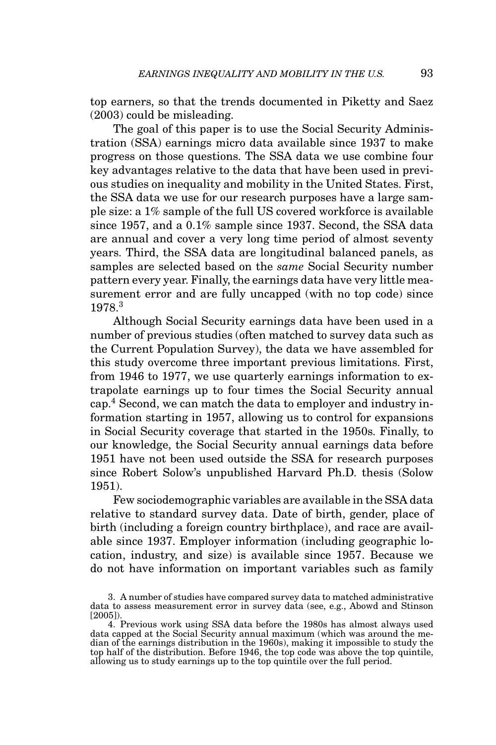top earners, so that the trends documented in Piketty and Saez (2003) could be misleading.

The goal of this paper is to use the Social Security Administration (SSA) earnings micro data available since 1937 to make progress on those questions. The SSA data we use combine four key advantages relative to the data that have been used in previous studies on inequality and mobility in the United States. First, the SSA data we use for our research purposes have a large sample size: a 1% sample of the full US covered workforce is available since 1957, and a 0.1% sample since 1937. Second, the SSA data are annual and cover a very long time period of almost seventy years. Third, the SSA data are longitudinal balanced panels, as samples are selected based on the *same* Social Security number pattern every year. Finally, the earnings data have very little measurement error and are fully uncapped (with no top code) since 1978.<sup>3</sup>

Although Social Security earnings data have been used in a number of previous studies (often matched to survey data such as the Current Population Survey), the data we have assembled for this study overcome three important previous limitations. First, from 1946 to 1977, we use quarterly earnings information to extrapolate earnings up to four times the Social Security annual cap.<sup>4</sup> Second, we can match the data to employer and industry information starting in 1957, allowing us to control for expansions in Social Security coverage that started in the 1950s. Finally, to our knowledge, the Social Security annual earnings data before 1951 have not been used outside the SSA for research purposes since Robert Solow's unpublished Harvard Ph.D. thesis (Solow 1951).

Few sociodemographic variables are available in the SSA data relative to standard survey data. Date of birth, gender, place of birth (including a foreign country birthplace), and race are available since 1937. Employer information (including geographic location, industry, and size) is available since 1957. Because we do not have information on important variables such as family

<sup>3.</sup> A number of studies have compared survey data to matched administrative data to assess measurement error in survey data (see, e.g., Abowd and Stinson [2005]).

<sup>4.</sup> Previous work using SSA data before the 1980s has almost always used data capped at the Social Security annual maximum (which was around the me-dian of the earnings distribution in the 1960s), making it impossible to study the top half of the distribution. Before 1946, the top code was above the top quintile, allowing us to study earnings up to the top quintile over the full period.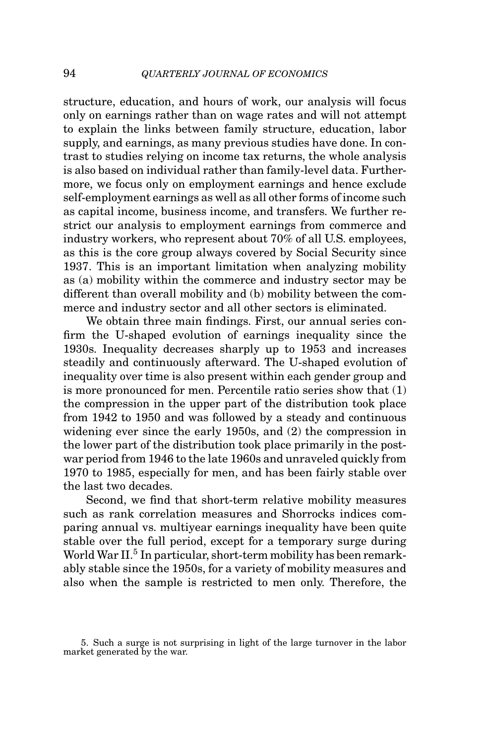structure, education, and hours of work, our analysis will focus only on earnings rather than on wage rates and will not attempt to explain the links between family structure, education, labor supply, and earnings, as many previous studies have done. In contrast to studies relying on income tax returns, the whole analysis is also based on individual rather than family-level data. Furthermore, we focus only on employment earnings and hence exclude self-employment earnings as well as all other forms of income such as capital income, business income, and transfers. We further restrict our analysis to employment earnings from commerce and industry workers, who represent about 70% of all U.S. employees, as this is the core group always covered by Social Security since 1937. This is an important limitation when analyzing mobility as (a) mobility within the commerce and industry sector may be different than overall mobility and (b) mobility between the commerce and industry sector and all other sectors is eliminated.

We obtain three main findings. First, our annual series confirm the U-shaped evolution of earnings inequality since the 1930s. Inequality decreases sharply up to 1953 and increases steadily and continuously afterward. The U-shaped evolution of inequality over time is also present within each gender group and is more pronounced for men. Percentile ratio series show that (1) the compression in the upper part of the distribution took place from 1942 to 1950 and was followed by a steady and continuous widening ever since the early 1950s, and (2) the compression in the lower part of the distribution took place primarily in the postwar period from 1946 to the late 1960s and unraveled quickly from 1970 to 1985, especially for men, and has been fairly stable over the last two decades.

Second, we find that short-term relative mobility measures such as rank correlation measures and Shorrocks indices comparing annual vs. multiyear earnings inequality have been quite stable over the full period, except for a temporary surge during World War II.<sup>5</sup> In particular, short-term mobility has been remarkably stable since the 1950s, for a variety of mobility measures and also when the sample is restricted to men only. Therefore, the

<sup>5.</sup> Such a surge is not surprising in light of the large turnover in the labor market generated by the war.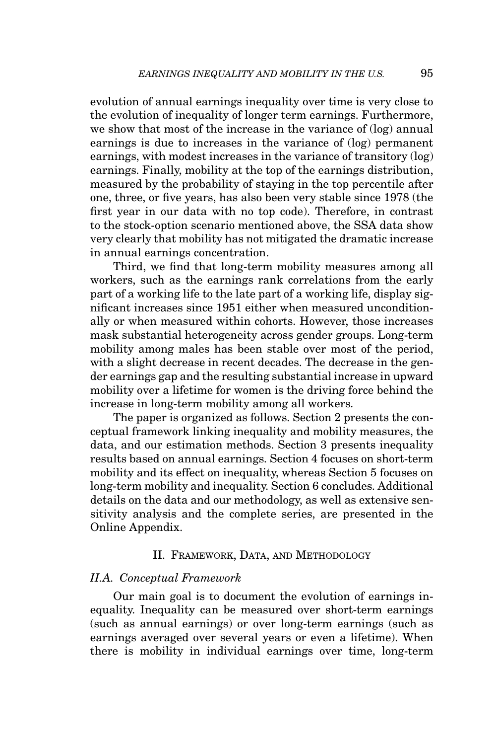evolution of annual earnings inequality over time is very close to the evolution of inequality of longer term earnings. Furthermore, we show that most of the increase in the variance of (log) annual earnings is due to increases in the variance of (log) permanent earnings, with modest increases in the variance of transitory (log) earnings. Finally, mobility at the top of the earnings distribution, measured by the probability of staying in the top percentile after one, three, or five years, has also been very stable since 1978 (the first year in our data with no top code). Therefore, in contrast to the stock-option scenario mentioned above, the SSA data show very clearly that mobility has not mitigated the dramatic increase in annual earnings concentration.

Third, we find that long-term mobility measures among all workers, such as the earnings rank correlations from the early part of a working life to the late part of a working life, display significant increases since 1951 either when measured unconditionally or when measured within cohorts. However, those increases mask substantial heterogeneity across gender groups. Long-term mobility among males has been stable over most of the period, with a slight decrease in recent decades. The decrease in the gender earnings gap and the resulting substantial increase in upward mobility over a lifetime for women is the driving force behind the increase in long-term mobility among all workers.

The paper is organized as follows. Section 2 presents the conceptual framework linking inequality and mobility measures, the data, and our estimation methods. Section 3 presents inequality results based on annual earnings. Section 4 focuses on short-term mobility and its effect on inequality, whereas Section 5 focuses on long-term mobility and inequality. Section 6 concludes. Additional details on the data and our methodology, as well as extensive sensitivity analysis and the complete series, are presented in the Online Appendix.

### II. FRAMEWORK, DATA, AND METHODOLOGY

#### *II.A. Conceptual Framework*

Our main goal is to document the evolution of earnings inequality. Inequality can be measured over short-term earnings (such as annual earnings) or over long-term earnings (such as earnings averaged over several years or even a lifetime). When there is mobility in individual earnings over time, long-term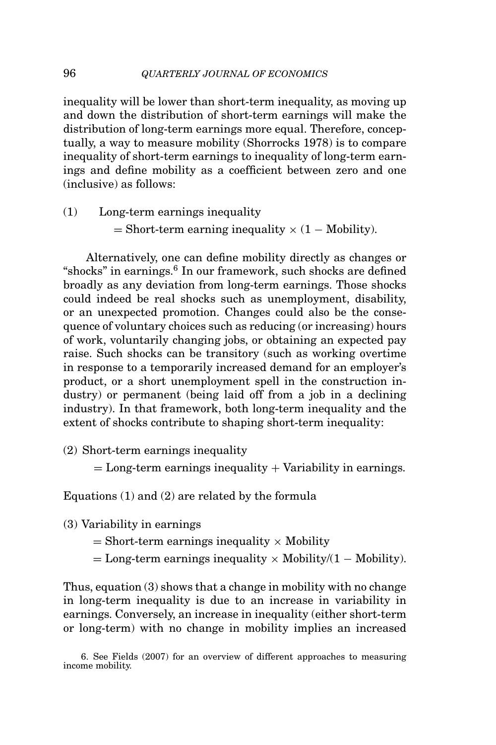inequality will be lower than short-term inequality, as moving up and down the distribution of short-term earnings will make the distribution of long-term earnings more equal. Therefore, conceptually, a way to measure mobility (Shorrocks 1978) is to compare inequality of short-term earnings to inequality of long-term earnings and define mobility as a coefficient between zero and one (inclusive) as follows:

- (1) Long-term earnings inequality
	- $=$  Short-term earning inequality  $\times$  (1 Mobility).

Alternatively, one can define mobility directly as changes or "shocks" in earnings.<sup>6</sup> In our framework, such shocks are defined broadly as any deviation from long-term earnings. Those shocks could indeed be real shocks such as unemployment, disability, or an unexpected promotion. Changes could also be the consequence of voluntary choices such as reducing (or increasing) hours of work, voluntarily changing jobs, or obtaining an expected pay raise. Such shocks can be transitory (such as working overtime in response to a temporarily increased demand for an employer's product, or a short unemployment spell in the construction industry) or permanent (being laid off from a job in a declining industry). In that framework, both long-term inequality and the extent of shocks contribute to shaping short-term inequality:

(2) Short-term earnings inequality

 $=$  Long-term earnings inequality  $+$  Variability in earnings.

Equations (1) and (2) are related by the formula

(3) Variability in earnings

- $=$  Short-term earnings inequality  $\times$  Mobility
- $=$  Long-term earnings inequality  $\times$  Mobility/(1 Mobility).

Thus, equation (3) shows that a change in mobility with no change in long-term inequality is due to an increase in variability in earnings. Conversely, an increase in inequality (either short-term or long-term) with no change in mobility implies an increased

6. See Fields (2007) for an overview of different approaches to measuring income mobility.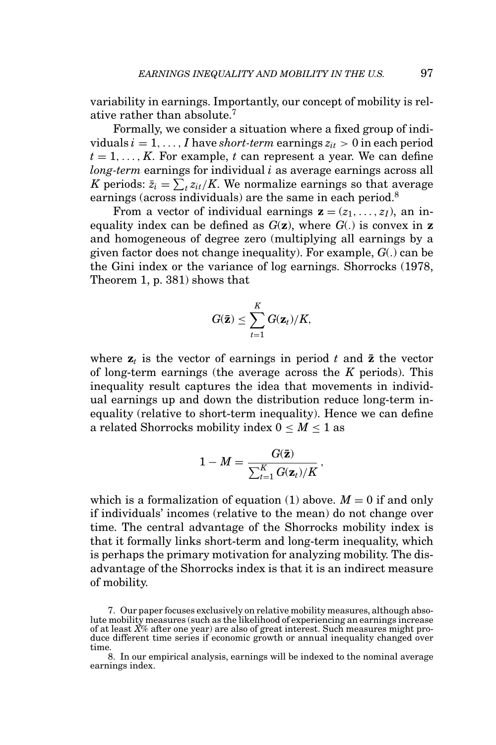variability in earnings. Importantly, our concept of mobility is relative rather than absolute.<sup>7</sup>

Formally, we consider a situation where a fixed group of individuals  $i = 1, ..., I$  have *short-term* earnings  $z_{it} > 0$  in each period  $t = 1, \ldots, K$ . For example,  $t$  can represent a year. We can define *long-term* earnings for individual *i* as average earnings across all *K* periods:  $\bar{z}_i = \sum_t z_{it}/K$ . We normalize earnings so that average earnings (across individuals) are the same in each period.<sup>8</sup>

From a vector of individual earnings  $z = (z_1, \ldots, z_l)$ , an inequality index can be defined as  $G(\mathbf{z})$ , where  $G(.)$  is convex in  $\mathbf{z}$ and homogeneous of degree zero (multiplying all earnings by a given factor does not change inequality). For example, *G*(.) can be the Gini index or the variance of log earnings. Shorrocks (1978, Theorem 1, p. 381) shows that

$$
G(\bar{\mathbf{z}}) \leq \sum_{t=1}^K G(\mathbf{z}_t)/K,
$$

where  $z_t$  is the vector of earnings in period t and  $\bar{z}$  the vector of long-term earnings (the average across the *K* periods). This inequality result captures the idea that movements in individual earnings up and down the distribution reduce long-term inequality (relative to short-term inequality). Hence we can define a related Shorrocks mobility index  $0 \leq M \leq 1$  as

$$
1-M=\frac{G(\bar{\mathbf{z}})}{\sum_{t=1}^K G(\mathbf{z}_t)/K},
$$

which is a formalization of equation  $(1)$  above.  $M = 0$  if and only if individuals' incomes (relative to the mean) do not change over time. The central advantage of the Shorrocks mobility index is that it formally links short-term and long-term inequality, which is perhaps the primary motivation for analyzing mobility. The disadvantage of the Shorrocks index is that it is an indirect measure of mobility.

<sup>7.</sup> Our paper focuses exclusively on relative mobility measures, although abso-lute mobility measures (such as the likelihood of experiencing an earnings increase of at least *X*% after one year) are also of great interest. Such measures might produce different time series if economic growth or annual inequality changed over time.

<sup>8.</sup> In our empirical analysis, earnings will be indexed to the nominal average earnings index.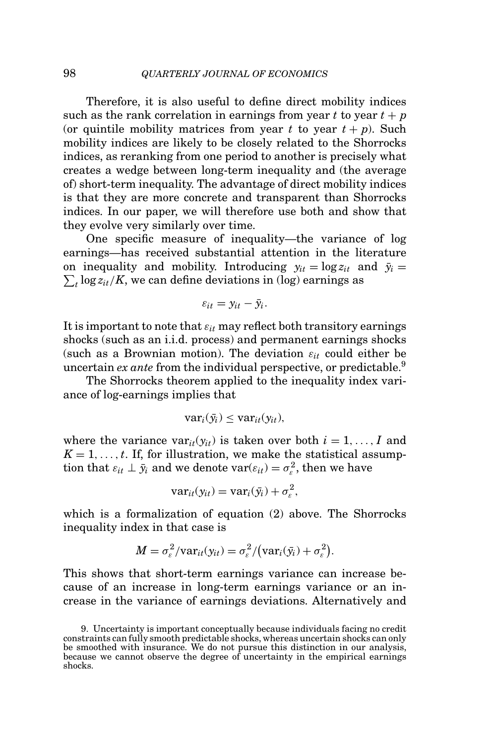Therefore, it is also useful to define direct mobility indices such as the rank correlation in earnings from year  $t$  to year  $t + p$ (or quintile mobility matrices from year  $t$  to year  $t + p$ ). Such mobility indices are likely to be closely related to the Shorrocks indices, as reranking from one period to another is precisely what creates a wedge between long-term inequality and (the average of) short-term inequality. The advantage of direct mobility indices is that they are more concrete and transparent than Shorrocks indices. In our paper, we will therefore use both and show that they evolve very similarly over time.

One specific measure of inequality—the variance of log earnings—has received substantial attention in the literature on inequality and mobility. Introducing  $y_{it} = \log z_{it}$  and  $\bar{y}_i = \sum_{i=1}^{n} z_{it}$  $\sum_{t} \log z_{it}/K$ , we can define deviations in (log) earnings as

$$
\varepsilon_{it} = y_{it} - \bar{y}_i.
$$

It is important to note that  $\varepsilon_{it}$  may reflect both transitory earnings shocks (such as an i.i.d. process) and permanent earnings shocks (such as a Brownian motion). The deviation  $\varepsilon_{it}$  could either be uncertain *ex ante* from the individual perspective, or predictable.<sup>9</sup>

The Shorrocks theorem applied to the inequality index variance of log-earnings implies that

$$
\operatorname{var}_i(\bar{y}_i) \leq \operatorname{var}_{it}(y_{it}),
$$

where the variance var<sub>*it*</sub>( $y$ <sup>*it*</sup>) is taken over both  $i = 1, \ldots, I$  and  $K = 1, \ldots, t$ . If, for illustration, we make the statistical assumption that  $\varepsilon_{it} \perp \bar{y}_i$  and we denote  $var(\varepsilon_{it}) = \sigma_{\varepsilon}^2$ , then we have

$$
\text{var}_{it}(y_{it}) = \text{var}_{i}(\bar{y}_i) + \sigma_{\varepsilon}^2,
$$

which is a formalization of equation (2) above. The Shorrocks inequality index in that case is

$$
M = \sigma_{\varepsilon}^2 / \text{var}_{it}(y_{it}) = \sigma_{\varepsilon}^2 / (\text{var}_i(\bar{y}_i) + \sigma_{\varepsilon}^2).
$$

This shows that short-term earnings variance can increase because of an increase in long-term earnings variance or an increase in the variance of earnings deviations. Alternatively and

<sup>9.</sup> Uncertainty is important conceptually because individuals facing no credit constraints can fully smooth predictable shocks, whereas uncertain shocks can only be smoothed with insurance. We do not pursue this distinction in our analysis, because we cannot observe the degree of uncertainty in the empirical earnings shocks.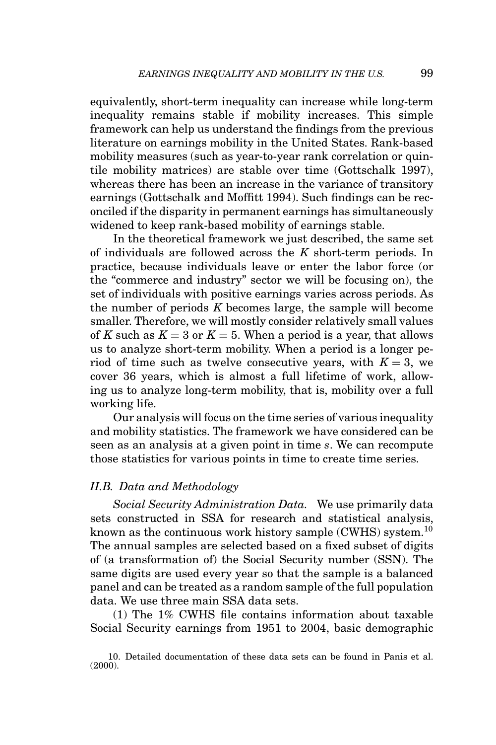equivalently, short-term inequality can increase while long-term inequality remains stable if mobility increases. This simple framework can help us understand the findings from the previous literature on earnings mobility in the United States. Rank-based mobility measures (such as year-to-year rank correlation or quintile mobility matrices) are stable over time (Gottschalk 1997), whereas there has been an increase in the variance of transitory earnings (Gottschalk and Moffitt 1994). Such findings can be reconciled if the disparity in permanent earnings has simultaneously widened to keep rank-based mobility of earnings stable.

In the theoretical framework we just described, the same set of individuals are followed across the *K* short-term periods. In practice, because individuals leave or enter the labor force (or the "commerce and industry" sector we will be focusing on), the set of individuals with positive earnings varies across periods. As the number of periods *K* becomes large, the sample will become smaller. Therefore, we will mostly consider relatively small values of K such as  $K = 3$  or  $K = 5$ . When a period is a year, that allows us to analyze short-term mobility. When a period is a longer period of time such as twelve consecutive years, with  $K = 3$ , we cover 36 years, which is almost a full lifetime of work, allowing us to analyze long-term mobility, that is, mobility over a full working life.

Our analysis will focus on the time series of various inequality and mobility statistics. The framework we have considered can be seen as an analysis at a given point in time *s*. We can recompute those statistics for various points in time to create time series.

### *II.B. Data and Methodology*

*Social Security Administration Data.* We use primarily data sets constructed in SSA for research and statistical analysis, known as the continuous work history sample  $(CWHS)$  system.<sup>10</sup> The annual samples are selected based on a fixed subset of digits of (a transformation of) the Social Security number (SSN). The same digits are used every year so that the sample is a balanced panel and can be treated as a random sample of the full population data. We use three main SSA data sets.

(1) The 1% CWHS file contains information about taxable Social Security earnings from 1951 to 2004, basic demographic

<sup>10.</sup> Detailed documentation of these data sets can be found in Panis et al. (2000).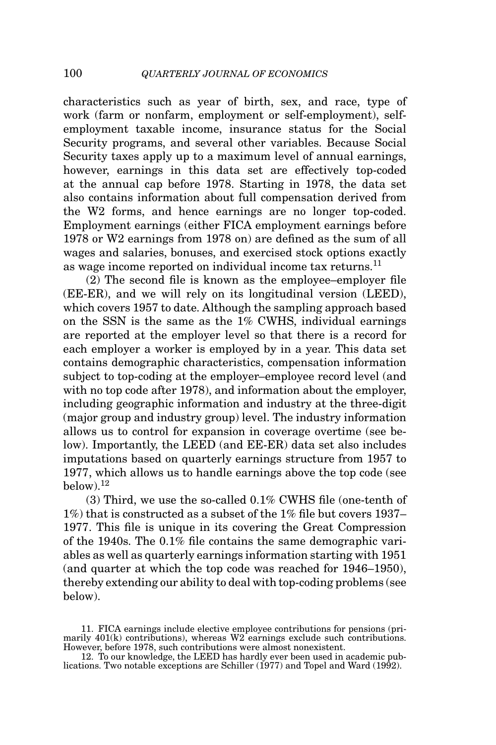characteristics such as year of birth, sex, and race, type of work (farm or nonfarm, employment or self-employment), selfemployment taxable income, insurance status for the Social Security programs, and several other variables. Because Social Security taxes apply up to a maximum level of annual earnings, however, earnings in this data set are effectively top-coded at the annual cap before 1978. Starting in 1978, the data set also contains information about full compensation derived from the W2 forms, and hence earnings are no longer top-coded. Employment earnings (either FICA employment earnings before 1978 or W2 earnings from 1978 on) are defined as the sum of all wages and salaries, bonuses, and exercised stock options exactly as wage income reported on individual income tax returns.<sup>11</sup>

(2) The second file is known as the employee–employer file (EE-ER), and we will rely on its longitudinal version (LEED), which covers 1957 to date. Although the sampling approach based on the SSN is the same as the 1% CWHS, individual earnings are reported at the employer level so that there is a record for each employer a worker is employed by in a year. This data set contains demographic characteristics, compensation information subject to top-coding at the employer–employee record level (and with no top code after 1978), and information about the employer, including geographic information and industry at the three-digit (major group and industry group) level. The industry information allows us to control for expansion in coverage overtime (see below). Importantly, the LEED (and EE-ER) data set also includes imputations based on quarterly earnings structure from 1957 to 1977, which allows us to handle earnings above the top code (see  $below$ ).<sup>12</sup>

(3) Third, we use the so-called 0.1% CWHS file (one-tenth of 1%) that is constructed as a subset of the 1% file but covers 1937– 1977. This file is unique in its covering the Great Compression of the 1940s. The 0.1% file contains the same demographic variables as well as quarterly earnings information starting with 1951 (and quarter at which the top code was reached for 1946–1950), thereby extending our ability to deal with top-coding problems (see below).

<sup>11.</sup> FICA earnings include elective employee contributions for pensions (primarily  $401(k)$  contributions), whereas W2 earnings exclude such contributions. However, before 1978, such contributions were almost nonexistent.

<sup>12.</sup> To our knowledge, the LEED has hardly ever been used in academic publications. Two notable exceptions are Schiller (1977) and Topel and Ward (1992).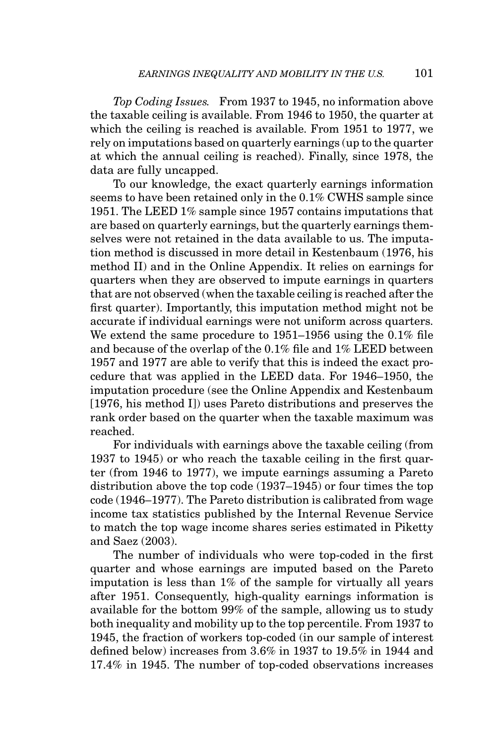*Top Coding Issues.* From 1937 to 1945, no information above the taxable ceiling is available. From 1946 to 1950, the quarter at which the ceiling is reached is available. From 1951 to 1977, we rely on imputations based on quarterly earnings (up to the quarter at which the annual ceiling is reached). Finally, since 1978, the data are fully uncapped.

To our knowledge, the exact quarterly earnings information seems to have been retained only in the 0.1% CWHS sample since 1951. The LEED 1% sample since 1957 contains imputations that are based on quarterly earnings, but the quarterly earnings themselves were not retained in the data available to us. The imputation method is discussed in more detail in Kestenbaum (1976, his method II) and in the Online Appendix. It relies on earnings for quarters when they are observed to impute earnings in quarters that are not observed (when the taxable ceiling is reached after the first quarter). Importantly, this imputation method might not be accurate if individual earnings were not uniform across quarters. We extend the same procedure to 1951–1956 using the 0.1% file and because of the overlap of the 0.1% file and 1% LEED between 1957 and 1977 are able to verify that this is indeed the exact procedure that was applied in the LEED data. For 1946–1950, the imputation procedure (see the Online Appendix and Kestenbaum [1976, his method I]) uses Pareto distributions and preserves the rank order based on the quarter when the taxable maximum was reached.

For individuals with earnings above the taxable ceiling (from 1937 to 1945) or who reach the taxable ceiling in the first quarter (from 1946 to 1977), we impute earnings assuming a Pareto distribution above the top code (1937–1945) or four times the top code (1946–1977). The Pareto distribution is calibrated from wage income tax statistics published by the Internal Revenue Service to match the top wage income shares series estimated in Piketty and Saez (2003).

The number of individuals who were top-coded in the first quarter and whose earnings are imputed based on the Pareto imputation is less than 1% of the sample for virtually all years after 1951. Consequently, high-quality earnings information is available for the bottom 99% of the sample, allowing us to study both inequality and mobility up to the top percentile. From 1937 to 1945, the fraction of workers top-coded (in our sample of interest defined below) increases from 3.6% in 1937 to 19.5% in 1944 and 17.4% in 1945. The number of top-coded observations increases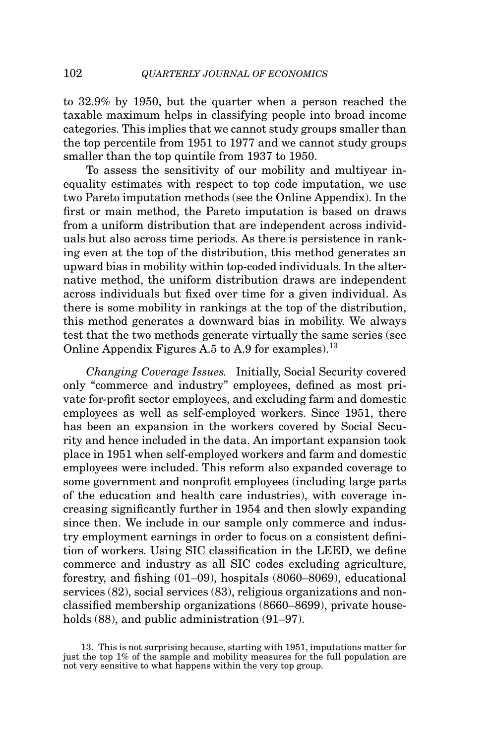to 32.9% by 1950, but the quarter when a person reached the taxable maximum helps in classifying people into broad income categories. This implies that we cannot study groups smaller than the top percentile from 1951 to 1977 and we cannot study groups smaller than the top quintile from 1937 to 1950.

To assess the sensitivity of our mobility and multiyear inequality estimates with respect to top code imputation, we use two Pareto imputation methods (see the Online Appendix). In the first or main method, the Pareto imputation is based on draws from a uniform distribution that are independent across individuals but also across time periods. As there is persistence in ranking even at the top of the distribution, this method generates an upward bias in mobility within top-coded individuals. In the alternative method, the uniform distribution draws are independent across individuals but fixed over time for a given individual. As there is some mobility in rankings at the top of the distribution, this method generates a downward bias in mobility. We always test that the two methods generate virtually the same series (see Online Appendix Figures A.5 to A.9 for examples).<sup>13</sup>

*Changing Coverage Issues.* Initially, Social Security covered only "commerce and industry" employees, defined as most private for-profit sector employees, and excluding farm and domestic employees as well as self-employed workers. Since 1951, there has been an expansion in the workers covered by Social Security and hence included in the data. An important expansion took place in 1951 when self-employed workers and farm and domestic employees were included. This reform also expanded coverage to some government and nonprofit employees (including large parts of the education and health care industries), with coverage increasing significantly further in 1954 and then slowly expanding since then. We include in our sample only commerce and industry employment earnings in order to focus on a consistent definition of workers. Using SIC classification in the LEED, we define commerce and industry as all SIC codes excluding agriculture, forestry, and fishing (01–09), hospitals (8060–8069), educational services (82), social services (83), religious organizations and nonclassified membership organizations (8660–8699), private households (88), and public administration (91–97).

<sup>13.</sup> This is not surprising because, starting with 1951, imputations matter for just the top 1% of the sample and mobility measures for the full population are not very sensitive to what happens within the very top group.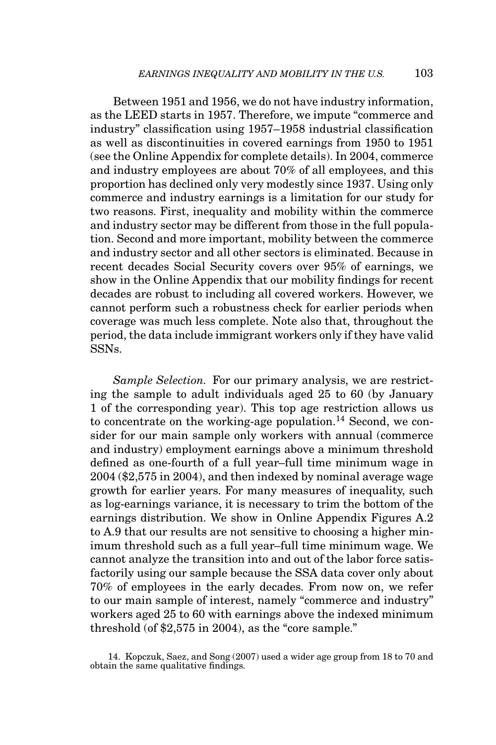Between 1951 and 1956, we do not have industry information, as the LEED starts in 1957. Therefore, we impute "commerce and industry" classification using 1957–1958 industrial classification as well as discontinuities in covered earnings from 1950 to 1951 (see the Online Appendix for complete details). In 2004, commerce and industry employees are about 70% of all employees, and this proportion has declined only very modestly since 1937. Using only commerce and industry earnings is a limitation for our study for two reasons. First, inequality and mobility within the commerce and industry sector may be different from those in the full population. Second and more important, mobility between the commerce and industry sector and all other sectors is eliminated. Because in recent decades Social Security covers over 95% of earnings, we show in the Online Appendix that our mobility findings for recent decades are robust to including all covered workers. However, we cannot perform such a robustness check for earlier periods when coverage was much less complete. Note also that, throughout the period, the data include immigrant workers only if they have valid SSNs.

*Sample Selection.* For our primary analysis, we are restricting the sample to adult individuals aged 25 to 60 (by January 1 of the corresponding year). This top age restriction allows us to concentrate on the working-age population. $^{14}$  Second, we consider for our main sample only workers with annual (commerce and industry) employment earnings above a minimum threshold defined as one-fourth of a full year–full time minimum wage in 2004 (\$2,575 in 2004), and then indexed by nominal average wage growth for earlier years. For many measures of inequality, such as log-earnings variance, it is necessary to trim the bottom of the earnings distribution. We show in Online Appendix Figures A.2 to A.9 that our results are not sensitive to choosing a higher minimum threshold such as a full year–full time minimum wage. We cannot analyze the transition into and out of the labor force satisfactorily using our sample because the SSA data cover only about 70% of employees in the early decades. From now on, we refer to our main sample of interest, namely "commerce and industry" workers aged 25 to 60 with earnings above the indexed minimum threshold (of \$2,575 in 2004), as the "core sample."

<sup>14.</sup> Kopczuk, Saez, and Song (2007) used a wider age group from 18 to 70 and obtain the same qualitative findings.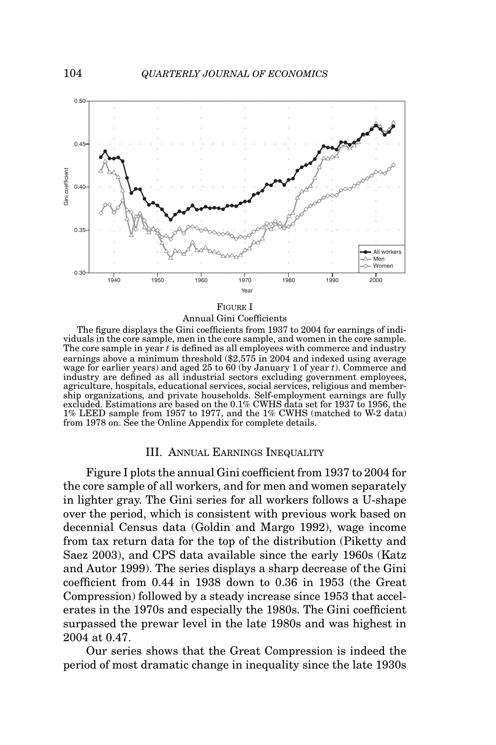

#### FIGURE I Annual Gini Coefficients

The figure displays the Gini coefficients from 1937 to 2004 for earnings of individuals in the core sample, men in the core sample, and women in the core sample. The core sample in year *t* is defined as all employees with commerce and industry earnings above a minimum threshold (\$2,575 in 2004 and indexed using average wage for earlier years) and aged 25 to 60 (by January 1 of year *t*). Commerce and industry are defined as all industrial sectors excluding government employees, agriculture, hospitals, educational services, social services, religious and membership organizations, and private households. Self-employment earnings are fully excluded. Estimations are based on the 0.1% CWHS data set for 1937 to 1956, the 1% LEED sample from 1957 to 1977, and the 1% CWHS (matched to W-2 data) from 1978 on. See the Online Appendix for complete details.

#### III. ANNUAL EARNINGS INEQUALITY

Figure I plots the annual Gini coefficient from 1937 to 2004 for the core sample of all workers, and for men and women separately in lighter gray. The Gini series for all workers follows a U-shape over the period, which is consistent with previous work based on decennial Census data (Goldin and Margo 1992), wage income from tax return data for the top of the distribution (Piketty and Saez 2003), and CPS data available since the early 1960s (Katz and Autor 1999). The series displays a sharp decrease of the Gini coefficient from 0.44 in 1938 down to 0.36 in 1953 (the Great Compression) followed by a steady increase since 1953 that accelerates in the 1970s and especially the 1980s. The Gini coefficient surpassed the prewar level in the late 1980s and was highest in 2004 at 0.47.

Our series shows that the Great Compression is indeed the period of most dramatic change in inequality since the late 1930s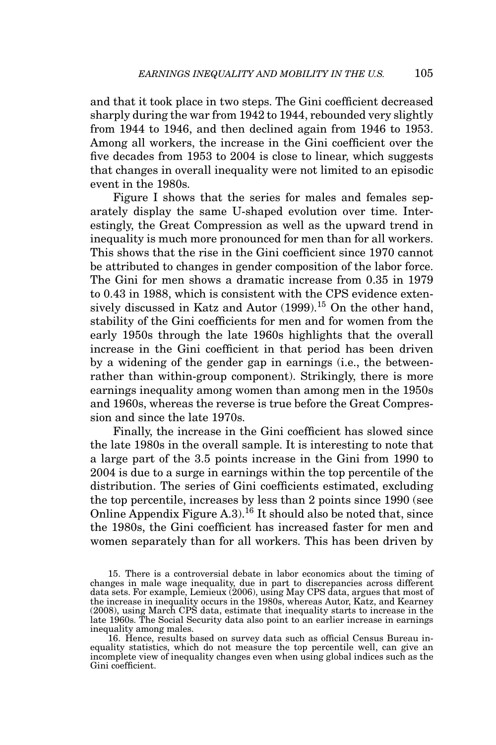and that it took place in two steps. The Gini coefficient decreased sharply during the war from 1942 to 1944, rebounded very slightly from 1944 to 1946, and then declined again from 1946 to 1953. Among all workers, the increase in the Gini coefficient over the five decades from 1953 to 2004 is close to linear, which suggests that changes in overall inequality were not limited to an episodic event in the 1980s.

Figure I shows that the series for males and females separately display the same U-shaped evolution over time. Interestingly, the Great Compression as well as the upward trend in inequality is much more pronounced for men than for all workers. This shows that the rise in the Gini coefficient since 1970 cannot be attributed to changes in gender composition of the labor force. The Gini for men shows a dramatic increase from 0.35 in 1979 to 0.43 in 1988, which is consistent with the CPS evidence extensively discussed in Katz and Autor (1999).<sup>15</sup> On the other hand, stability of the Gini coefficients for men and for women from the early 1950s through the late 1960s highlights that the overall increase in the Gini coefficient in that period has been driven by a widening of the gender gap in earnings (i.e., the betweenrather than within-group component). Strikingly, there is more earnings inequality among women than among men in the 1950s and 1960s, whereas the reverse is true before the Great Compression and since the late 1970s.

Finally, the increase in the Gini coefficient has slowed since the late 1980s in the overall sample. It is interesting to note that a large part of the 3.5 points increase in the Gini from 1990 to 2004 is due to a surge in earnings within the top percentile of the distribution. The series of Gini coefficients estimated, excluding the top percentile, increases by less than 2 points since 1990 (see Online Appendix Figure A.3).<sup>16</sup> It should also be noted that, since the 1980s, the Gini coefficient has increased faster for men and women separately than for all workers. This has been driven by

<sup>15.</sup> There is a controversial debate in labor economics about the timing of changes in male wage inequality, due in part to discrepancies across different<br>data sets. For example, Lemieux (2006), using May CPS data, argues that most of<br>the increase in inequality occurs in the 1980s, whereas Autor, inequality among males.

<sup>16.</sup> Hence, results based on survey data such as official Census Bureau inequality statistics, which do not measure the top percentile well, can give an incomplete view of inequality changes even when using global indices such as the Gini coefficient.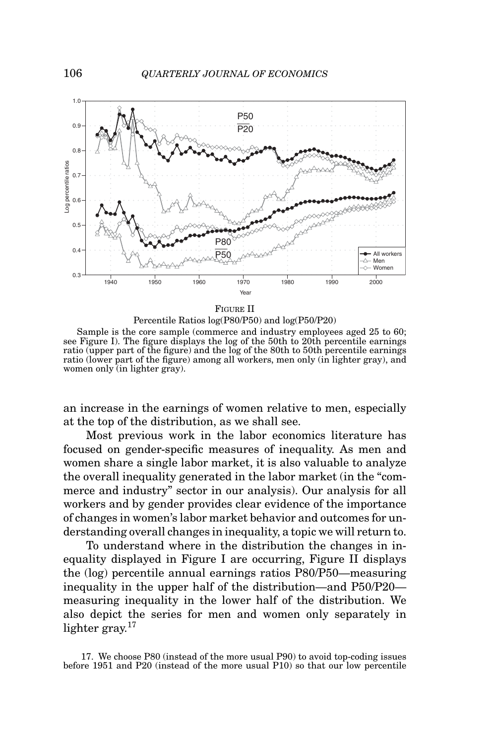

FIGURE II Percentile Ratios log(P80/P50) and log(P50/P20)

Sample is the core sample (commerce and industry employees aged 25 to 60; see Figure I). The figure displays the log of the 50th to 20th percentile earnings ratio (upper part of the figure) and the log of the 80th to 50th percentile earnings ratio (lower part of the figure) among all workers, men only (in lighter gray), and women only (in lighter gray).

an increase in the earnings of women relative to men, especially at the top of the distribution, as we shall see.

Most previous work in the labor economics literature has focused on gender-specific measures of inequality. As men and women share a single labor market, it is also valuable to analyze the overall inequality generated in the labor market (in the "commerce and industry" sector in our analysis). Our analysis for all workers and by gender provides clear evidence of the importance of changes in women's labor market behavior and outcomes for understanding overall changes in inequality, a topic we will return to.

To understand where in the distribution the changes in inequality displayed in Figure I are occurring, Figure II displays the (log) percentile annual earnings ratios P80/P50—measuring inequality in the upper half of the distribution—and P50/P20 measuring inequality in the lower half of the distribution. We also depict the series for men and women only separately in lighter gray.<sup>17</sup>

17. We choose P80 (instead of the more usual P90) to avoid top-coding issues before 1951 and P20 (instead of the more usual P10) so that our low percentile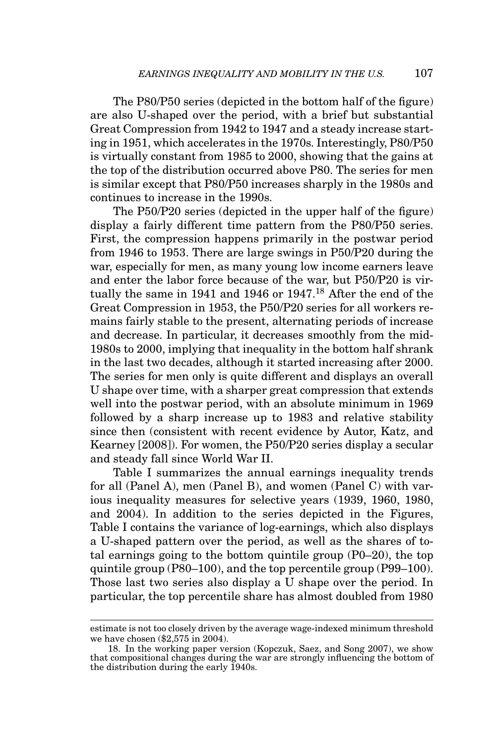The P80/P50 series (depicted in the bottom half of the figure) are also U-shaped over the period, with a brief but substantial Great Compression from 1942 to 1947 and a steady increase starting in 1951, which accelerates in the 1970s. Interestingly, P80/P50 is virtually constant from 1985 to 2000, showing that the gains at the top of the distribution occurred above P80. The series for men is similar except that P80/P50 increases sharply in the 1980s and continues to increase in the 1990s.

The P50/P20 series (depicted in the upper half of the figure) display a fairly different time pattern from the P80/P50 series. First, the compression happens primarily in the postwar period from 1946 to 1953. There are large swings in P50/P20 during the war, especially for men, as many young low income earners leave and enter the labor force because of the war, but P50/P20 is virtually the same in 1941 and 1946 or  $1947$ .<sup>18</sup> After the end of the Great Compression in 1953, the P50/P20 series for all workers remains fairly stable to the present, alternating periods of increase and decrease. In particular, it decreases smoothly from the mid-1980s to 2000, implying that inequality in the bottom half shrank in the last two decades, although it started increasing after 2000. The series for men only is quite different and displays an overall U shape over time, with a sharper great compression that extends well into the postwar period, with an absolute minimum in 1969 followed by a sharp increase up to 1983 and relative stability since then (consistent with recent evidence by Autor, Katz, and Kearney [2008]). For women, the P50/P20 series display a secular and steady fall since World War II.

Table I summarizes the annual earnings inequality trends for all (Panel A), men (Panel B), and women (Panel C) with various inequality measures for selective years (1939, 1960, 1980, and 2004). In addition to the series depicted in the Figures, Table I contains the variance of log-earnings, which also displays a U-shaped pattern over the period, as well as the shares of total earnings going to the bottom quintile group (P0–20), the top quintile group (P80–100), and the top percentile group (P99–100). Those last two series also display a U shape over the period. In particular, the top percentile share has almost doubled from 1980

estimate is not too closely driven by the average wage-indexed minimum threshold we have chosen (\$2,575 in 2004).

<sup>18.</sup> In the working paper version (Kopczuk, Saez, and Song 2007), we show that compositional changes during the war are strongly influencing the bottom of the distribution during the early 1940s.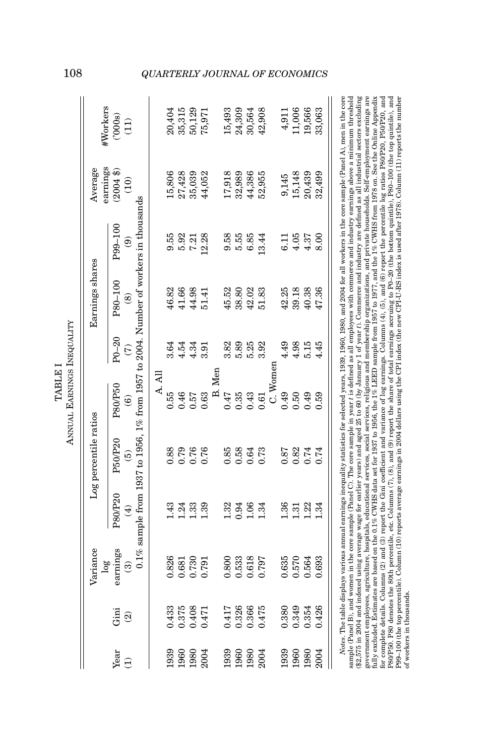|                         |                                        | Variance                                      |                        | Log percentile ratios    |                                   |                | Earnings shares          |                                                                                     | earnings<br>Average            | #Workers          |
|-------------------------|----------------------------------------|-----------------------------------------------|------------------------|--------------------------|-----------------------------------|----------------|--------------------------|-------------------------------------------------------------------------------------|--------------------------------|-------------------|
| Year<br>$\widehat{\Xi}$ | نتىن<br>تا<br>$\widehat{\mathfrak{D}}$ | earnings<br>$\log$<br>$\widehat{\mathcal{C}}$ | P80/P20<br>$\bigoplus$ | P50/P20<br>$\widehat{5}$ | P80/P50<br>$\widehat{\mathbf{e}}$ | $P0 - 20$<br>E | P80-100<br>$\circledast$ | P99-100<br>$\widehat{\mathbf{e}}$                                                   | $(2004\;$ \$)<br>$\frac{1}{2}$ | (2000s)<br>(11)   |
|                         |                                        |                                               |                        |                          |                                   |                |                          | 0.1% sample from 1937 to 1956, 1% from 1957 to 2004. Number of workers in thousands |                                |                   |
|                         |                                        |                                               |                        |                          | A. All                            |                |                          |                                                                                     |                                |                   |
| 1939                    | 0.433                                  | 0.826                                         | 13                     | 0.88                     | 0.55                              | 3.64           | 46.82                    | 9.55                                                                                | 15,806                         | 20,404            |
| 1960                    | 0.375                                  | 0.681                                         | 1.24                   | 0.79                     | 0.46                              | 4.54           | 41.66                    | 5.92                                                                                | 27,428                         | 35,315            |
| 1980                    | 0.408                                  | 0.730                                         | 133                    | 0.76                     | 0.57                              | 4.34           | 44.98                    | 7.21                                                                                | 35,039                         | 50,129            |
| 2004                    | 0.471                                  | 0.791                                         | 1.39                   | 0.76                     | 0.63                              | 3.91           | 51.41                    | 12.28                                                                               | 44,052                         | 75,971            |
|                         |                                        |                                               |                        |                          | B. Men                            |                |                          |                                                                                     |                                |                   |
| 1939                    | 1417                                   | 0.800                                         | 1.32                   | 0.85                     | 0.47                              | 3.82           | 45.52                    | 9.58                                                                                | 17,918                         | 15,493            |
| 1960                    | 0.326                                  | 0.533                                         | 0.94                   | 0.58                     | 0.35                              | 5.89           | 38.80                    | 5.55                                                                                | 32,989                         | 24,309<br>30,564  |
| 980                     | 0.366                                  | 0.618                                         | 1.06                   | 0.64                     | 0.43                              | 5.25           | 42.02                    | 6.85                                                                                | 44,386                         |                   |
| 2004                    | 0.475                                  | 0.797                                         | 1.34                   | 0.73                     | 0.61                              | 3.92           | 51.83                    | 13.44                                                                               | 52,955                         | 42,908            |
|                         |                                        |                                               |                        |                          | C. Womer                          |                |                          |                                                                                     |                                |                   |
| 1939                    | 0.380                                  | 0.635                                         | 1.36                   | 0.87                     | 0.49                              | 4.49           | 42.25                    | 6.11                                                                                |                                |                   |
| 1960                    | 0.349                                  | 0.570                                         | 1.31                   | 0.82                     | 0.50                              | 4.98           | 39.18                    | 4.05                                                                                | 9,145<br>15,148                | $4,911$<br>11,006 |
| 980                     | 0.354                                  | 0.564                                         | 1.22                   | 0.74                     | 0.49                              | 5.15           | 40.38                    | 4.37                                                                                | 20,439                         | 19,566            |
| 2004                    | 0.426                                  | 0.693                                         | 1.34                   | 0.74                     | 0.59                              | 4.45           | 47.36                    | 8.00                                                                                | 32,499                         | 33,063            |

ANNUAL EARNINGS INEQUALITY EARNINGS INEQUALITY **TABLEI** TABLE I

government employees, agriculture, hospitals, educational services, social services, religious and membership organizations, and private households. Self-employment earnings are for complete details. Columns (2) and (3) re (\$2,575 in 2004 and indexed using average wage for earlier years) and aged 25 to 60 (by January 1 of year t). Commerce and industry are defined as all industrial sectors excluding government employees, agriculture, hospitals, educational services, social services, religious and membership organizations, and private households. Self-employment earnings are (\$2,575 in 2004 and indexed using average wage for earlier years) and aged 25 to 60 (by January 1 of year *t*). Commerce and industry are defined as all industrial sectors excluding government employees, agriculture, hospitals, educational services, social services, religious and membership organizations, and private households. Self-employment earnings are fully excluded. Estimates are based on the 0.1% CWHS data set for 1937 to 1956, the 1% LEED sample from 1957 to 1977, and the 1% CWHS from 1978 on. See the Online Appendix for complete details. Columns (2) and (3) report the Gini coefficient and variance of log earnings. Columns (4), (5), and (6) report the percentile log ratios P80/P20, P50/P20, and P80/P50. P80 denotes the 80th percentile, etc. Columns (7), (8), and (9) report the share of total earnings accruing to P0–20 (the bottom quintile), P80–100 (the top quintile), and P99–100 (the top percentile). Column (10) reports average earnings in 2004 dollars using the CPI index (the new CPI-U-RS index is used after 1978). Column (11) reports the number of workers in thousands.

### 108 *QUARTERLY JOURNAL OF ECONOMICS*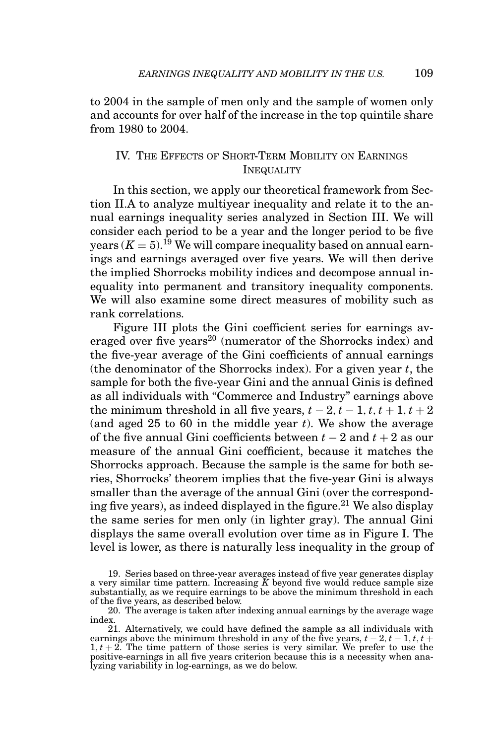to 2004 in the sample of men only and the sample of women only and accounts for over half of the increase in the top quintile share from 1980 to 2004.

# IV. THE EFFECTS OF SHORT-TERM MOBILITY ON EARNINGS **INEQUALITY**

In this section, we apply our theoretical framework from Section II.A to analyze multiyear inequality and relate it to the annual earnings inequality series analyzed in Section III. We will consider each period to be a year and the longer period to be five years  $(K = 5)$ .<sup>19</sup> We will compare inequality based on annual earnings and earnings averaged over five years. We will then derive the implied Shorrocks mobility indices and decompose annual inequality into permanent and transitory inequality components. We will also examine some direct measures of mobility such as rank correlations.

Figure III plots the Gini coefficient series for earnings averaged over five years<sup>20</sup> (numerator of the Shorrocks index) and the five-year average of the Gini coefficients of annual earnings (the denominator of the Shorrocks index). For a given year *t*, the sample for both the five-year Gini and the annual Ginis is defined as all individuals with "Commerce and Industry" earnings above the minimum threshold in all five years,  $t - 2$ ,  $t - 1$ ,  $t$ ,  $t + 1$ ,  $t + 2$ (and aged 25 to 60 in the middle year *t*). We show the average of the five annual Gini coefficients between *t* − 2 and *t* + 2 as our measure of the annual Gini coefficient, because it matches the Shorrocks approach. Because the sample is the same for both series, Shorrocks' theorem implies that the five-year Gini is always smaller than the average of the annual Gini (over the corresponding five years), as indeed displayed in the figure.<sup>21</sup> We also display the same series for men only (in lighter gray). The annual Gini displays the same overall evolution over time as in Figure I. The level is lower, as there is naturally less inequality in the group of

<sup>19.</sup> Series based on three-year averages instead of five year generates display a very similar time pattern. Increasing *K* beyond five would reduce sample size substantially, as we require earnings to be above the minimum threshold in each of the five years, as described below.

<sup>20.</sup> The average is taken after indexing annual earnings by the average wage index.

<sup>21.</sup> Alternatively, we could have defined the sample as all individuals with earnings above the minimum threshold in any of the five years,  $t - 2$ ,  $t - 1$ ,  $t$ ,  $t + 1$ ,  $t + 2$ . The time pattern of those series is very similar. We prefer to use the positive-earnings in all five years criterion because this is a necessity when analyzing variability in log-earnings, as we do below.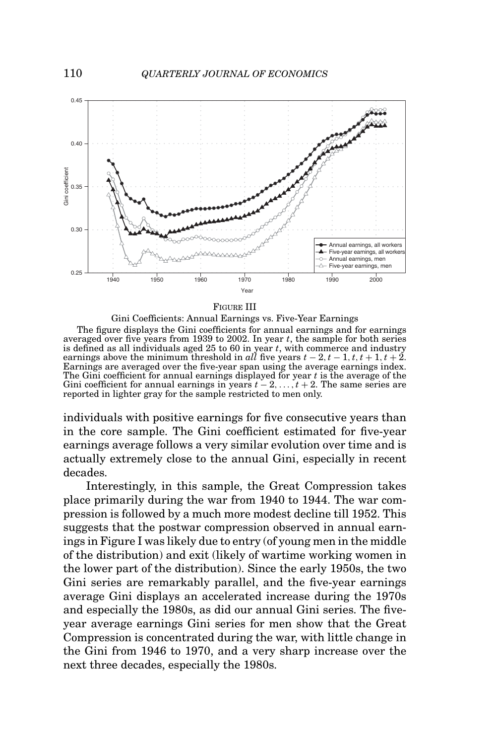

FIGURE III

Gini Coefficients: Annual Earnings vs. Five-Year Earnings The figure displays the Gini coefficients for annual earnings and for earnings averaged over five years from 1939 to 2002. In year *t*, the sample for both series is defined as all individuals aged 25 to 60 in year *t*, with commerce and industry<br>earnings above the minimum threshold in *all* five years  $t - 2$ ,  $t - 1$ ,  $t$ ,  $t + 1$ ,  $t + 2$ . Earnings are averaged over the five-year span using the average earnings index. The Gini coefficient for annual earnings displayed for year *t* is the average of the Gini coefficient for annual earnings in years  $t-2, \ldots, t+2$ . The same series are reported in lighter gray for the sample restricted to men only.

individuals with positive earnings for five consecutive years than in the core sample. The Gini coefficient estimated for five-year earnings average follows a very similar evolution over time and is actually extremely close to the annual Gini, especially in recent decades.

Interestingly, in this sample, the Great Compression takes place primarily during the war from 1940 to 1944. The war compression is followed by a much more modest decline till 1952. This suggests that the postwar compression observed in annual earnings in Figure I was likely due to entry (of young men in the middle of the distribution) and exit (likely of wartime working women in the lower part of the distribution). Since the early 1950s, the two Gini series are remarkably parallel, and the five-year earnings average Gini displays an accelerated increase during the 1970s and especially the 1980s, as did our annual Gini series. The fiveyear average earnings Gini series for men show that the Great Compression is concentrated during the war, with little change in the Gini from 1946 to 1970, and a very sharp increase over the next three decades, especially the 1980s.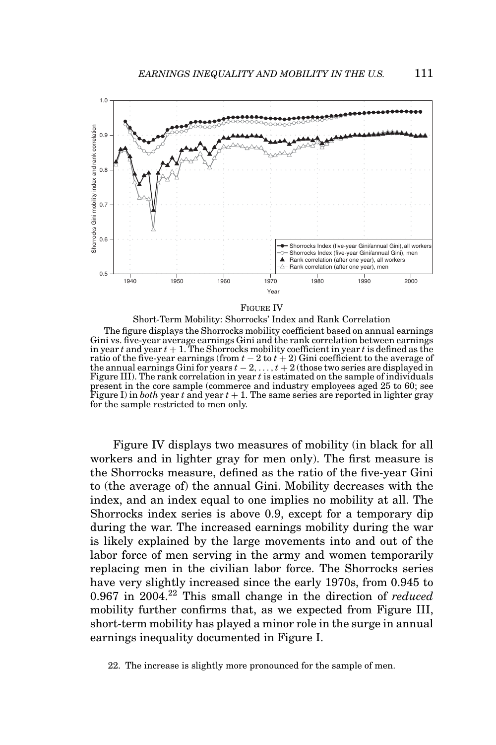

FIGURE IV

Short-Term Mobility: Shorrocks' Index and Rank Correlation The figure displays the Shorrocks mobility coefficient based on annual earnings Gini vs. five-year average earnings Gini and the rank correlation between earnings in year *t* and year *t* + 1. The Shorrocks mobility coefficient in year *t* is defined as the ratio of the five-year earnings (from  $t - 2$  to  $t + 2$ ) Gini coefficient to the average of the annual earnings Gini for years *t* − 2,...,*t* + 2 (those two series are displayed in Figure III). The rank correlation in year *t* is estimated on the sample of individuals present in the core sample (commerce and industry employees aged 25 to 60; see Figure I) in *both* year  $t$  and year  $t + 1$ . The same series are reported in lighter gray for the sample restricted to men only.

Figure IV displays two measures of mobility (in black for all workers and in lighter gray for men only). The first measure is the Shorrocks measure, defined as the ratio of the five-year Gini to (the average of) the annual Gini. Mobility decreases with the index, and an index equal to one implies no mobility at all. The Shorrocks index series is above 0.9, except for a temporary dip during the war. The increased earnings mobility during the war is likely explained by the large movements into and out of the labor force of men serving in the army and women temporarily replacing men in the civilian labor force. The Shorrocks series have very slightly increased since the early 1970s, from 0.945 to 0.967 in 2004.22 This small change in the direction of *reduced* mobility further confirms that, as we expected from Figure III, short-term mobility has played a minor role in the surge in annual earnings inequality documented in Figure I.

22. The increase is slightly more pronounced for the sample of men.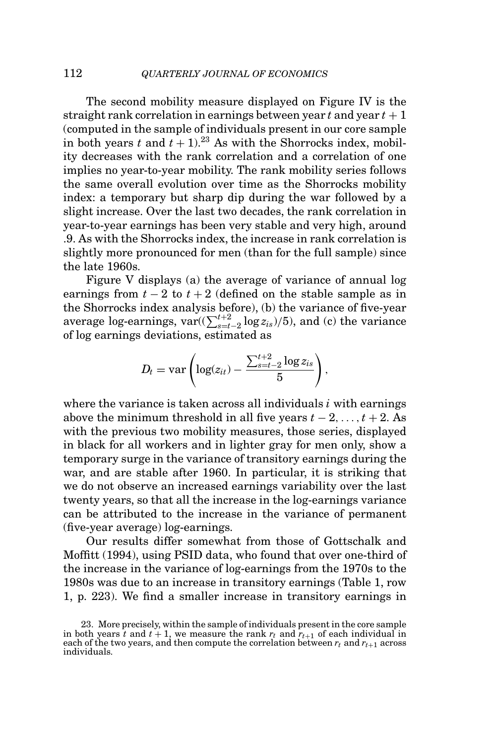The second mobility measure displayed on Figure IV is the straight rank correlation in earnings between year  $t$  and year  $t + 1$ (computed in the sample of individuals present in our core sample in both years *t* and  $t + 1$ .<sup>23</sup> As with the Shorrocks index, mobility decreases with the rank correlation and a correlation of one implies no year-to-year mobility. The rank mobility series follows the same overall evolution over time as the Shorrocks mobility index: a temporary but sharp dip during the war followed by a slight increase. Over the last two decades, the rank correlation in year-to-year earnings has been very stable and very high, around .9. As with the Shorrocks index, the increase in rank correlation is slightly more pronounced for men (than for the full sample) since the late 1960s.

Figure V displays (a) the average of variance of annual log earnings from  $t - 2$  to  $t + 2$  (defined on the stable sample as in the Shorrocks index analysis before), (b) the variance of five-year average log-earnings,  $var((\sum_{s=t-2}^{t+2} \log z_{is})/5)$ , and (c) the variance of log earnings deviations, estimated as

$$
D_t = \text{var}\left(\log(z_{it}) - \frac{\sum_{s=t-2}^{t+2} \log z_{is}}{5}\right),\,
$$

where the variance is taken across all individuals *i* with earnings above the minimum threshold in all five years  $t - 2, \ldots, t + 2$ . As with the previous two mobility measures, those series, displayed in black for all workers and in lighter gray for men only, show a temporary surge in the variance of transitory earnings during the war, and are stable after 1960. In particular, it is striking that we do not observe an increased earnings variability over the last twenty years, so that all the increase in the log-earnings variance can be attributed to the increase in the variance of permanent (five-year average) log-earnings.

Our results differ somewhat from those of Gottschalk and Moffitt (1994), using PSID data, who found that over one-third of the increase in the variance of log-earnings from the 1970s to the 1980s was due to an increase in transitory earnings (Table 1, row 1, p. 223). We find a smaller increase in transitory earnings in

<sup>23.</sup> More precisely, within the sample of individuals present in the core sample in both years *t* and  $t + 1$ , we measure the rank  $r_t$  and  $r_{t+1}$  of each individual in each of the two years, and then compute the correlation between  $r_t$  and  $r_{t+1}$  across individuals.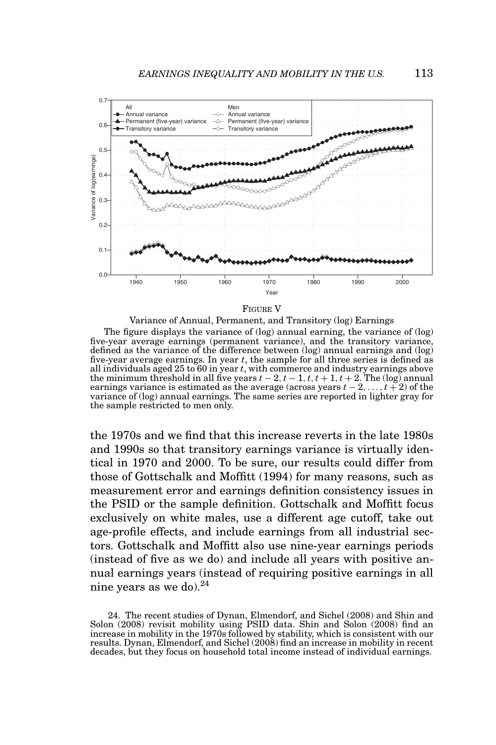

FIGURE V

Variance of Annual, Permanent, and Transitory (log) Earnings

The figure displays the variance of (log) annual earning, the variance of (log) five-year average earnings (permanent variance), and the transitory variance, defined as the variance of the difference between (log) annual earnings and (log) five-year average earnings. In year *t*, the sample for all three series is defined as all individuals aged 25 to 60 in year *t*, with commerce and industry earnings above the minimum threshold in all five years  $t - 2$ ,  $t - 1$ ,  $t$ ,  $t + 1$ ,  $t + 2$ . The (log) annual earnings variance is estimated as the average (across years *t* − 2,...,*t* + 2) of the variance of (log) annual earnings. The same series are reported in lighter gray for the sample restricted to men only.

the 1970s and we find that this increase reverts in the late 1980s and 1990s so that transitory earnings variance is virtually identical in 1970 and 2000. To be sure, our results could differ from those of Gottschalk and Moffitt (1994) for many reasons, such as measurement error and earnings definition consistency issues in the PSID or the sample definition. Gottschalk and Moffitt focus exclusively on white males, use a different age cutoff, take out age-profile effects, and include earnings from all industrial sectors. Gottschalk and Moffitt also use nine-year earnings periods (instead of five as we do) and include all years with positive annual earnings years (instead of requiring positive earnings in all nine years as we do). $24$ 

<sup>24.</sup> The recent studies of Dynan, Elmendorf, and Sichel (2008) and Shin and Solon (2008) revisit mobility using PSID data. Shin and Solon (2008) find an increase in mobility in the 1970s followed by stability, which is consistent with our results. Dynan, Elmendorf, and Sichel (2008) find an increase in mobility in recent decades, but they focus on household total income instead of individual earnings.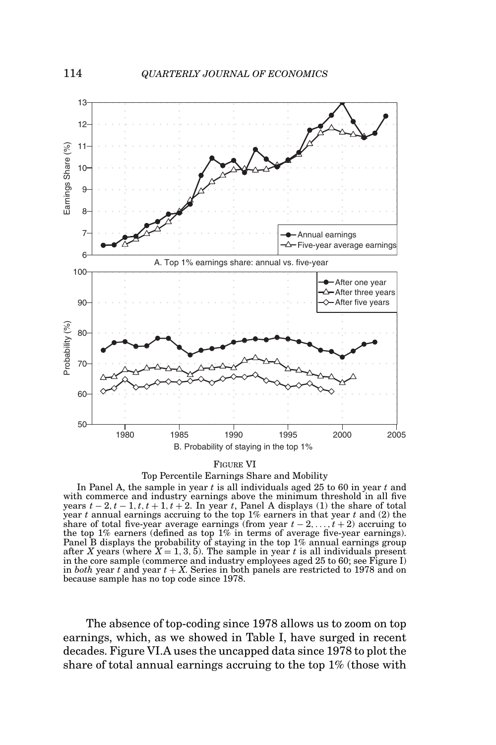

FIGURE VI Top Percentile Earnings Share and Mobility

In Panel A, the sample in year *t* is all individuals aged 25 to 60 in year *t* and with commerce and industry earnings above the minimum threshold in all five years  $t - 2$ ,  $t - 1$ ,  $t$ ,  $t + 1$ ,  $t + 2$ . In year  $t$ , Panel A displays (1) the share of total year *t* annual earnings accruing to the top 1% earners in that year *t* and (2) the share of total five-year average earnings (from year  $t - 2, \ldots, t + 2$ ) accruing to the top 1% earners (defined as top  $1\%$  in terms of average five-year earnings). Panel B displays the probability of staying in the top  $1\%$  annual earnings group after *X* years (where  $X = 1, 3, 5$ ). The sample in year *t* is all individuals present in the core sample (commerce and industry employees aged 25 to 60; see Figure I)<br>in *both* year *t* and year  $t + X$ . Series in both panels are restricted to 1978 and on because sample has no top code since 1978.

The absence of top-coding since 1978 allows us to zoom on top earnings, which, as we showed in Table I, have surged in recent decades. Figure VI.A uses the uncapped data since 1978 to plot the share of total annual earnings accruing to the top 1% (those with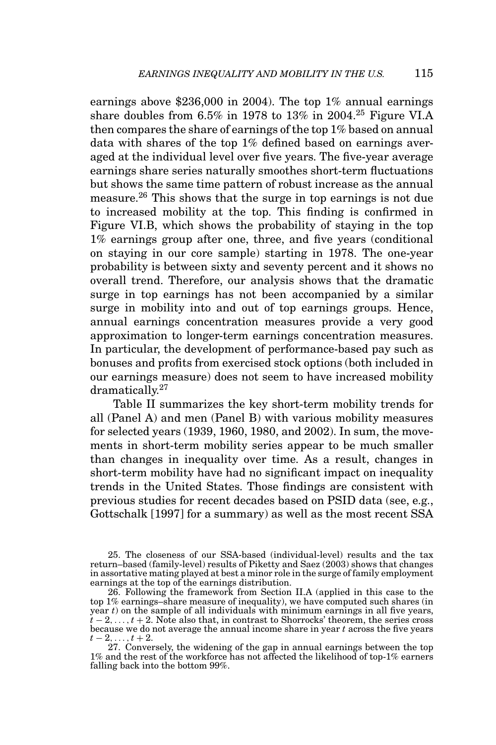earnings above  $$236,000$  in 2004). The top 1% annual earnings share doubles from 6.5% in 1978 to 13% in 2004.<sup>25</sup> Figure VI.A then compares the share of earnings of the top 1% based on annual data with shares of the top 1% defined based on earnings averaged at the individual level over five years. The five-year average earnings share series naturally smoothes short-term fluctuations but shows the same time pattern of robust increase as the annual measure.<sup>26</sup> This shows that the surge in top earnings is not due to increased mobility at the top. This finding is confirmed in Figure VI.B, which shows the probability of staying in the top 1% earnings group after one, three, and five years (conditional on staying in our core sample) starting in 1978. The one-year probability is between sixty and seventy percent and it shows no overall trend. Therefore, our analysis shows that the dramatic surge in top earnings has not been accompanied by a similar surge in mobility into and out of top earnings groups. Hence, annual earnings concentration measures provide a very good approximation to longer-term earnings concentration measures. In particular, the development of performance-based pay such as bonuses and profits from exercised stock options (both included in our earnings measure) does not seem to have increased mobility dramatically.27

Table II summarizes the key short-term mobility trends for all (Panel A) and men (Panel B) with various mobility measures for selected years (1939, 1960, 1980, and 2002). In sum, the movements in short-term mobility series appear to be much smaller than changes in inequality over time. As a result, changes in short-term mobility have had no significant impact on inequality trends in the United States. Those findings are consistent with previous studies for recent decades based on PSID data (see, e.g., Gottschalk [1997] for a summary) as well as the most recent SSA

<sup>25.</sup> The closeness of our SSA-based (individual-level) results and the tax return–based (family-level) results of Piketty and Saez (2003) shows that changes in assortative mating played at best a minor role in the surge of family employment earnings at the top of the earnings distribution.

<sup>26.</sup> Following the framework from Section II.A (applied in this case to the top 1% earnings–share measure of inequality), we have computed such shares (in year t) on the sample of all individuals with minimum earnings in all five years,  $t-2, \ldots, t+2$ . Note also that, in contrast to Shorrocks' the because we do not average the annual income share in year *t* across the five years  $t-2, \ldots, t+2.$ 

<sup>27.</sup> Conversely, the widening of the gap in annual earnings between the top 1% and the rest of the workforce has not affected the likelihood of top-1% earners falling back into the bottom 99%.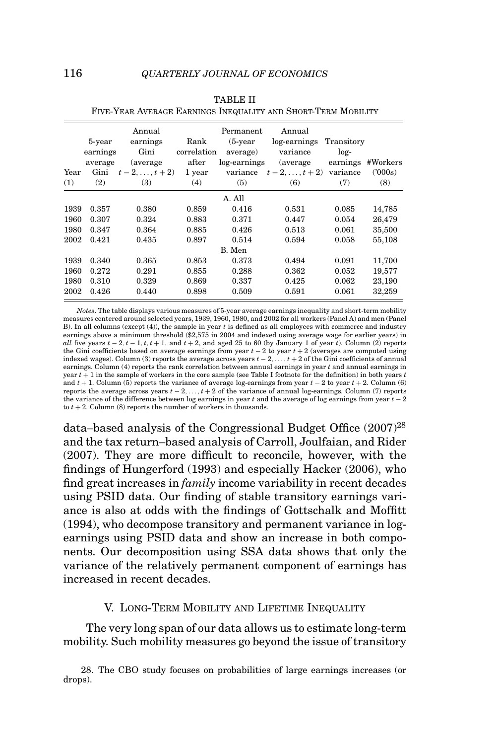|      |          | Annual           |             | Permanent    | Annual              |            |          |
|------|----------|------------------|-------------|--------------|---------------------|------------|----------|
|      | 5-year   | earnings         | Rank        | $(5$ -year   | log-earnings        | Transitory |          |
|      | earnings | Gini             | correlation | average)     | variance            | $log-$     |          |
|      | average  | (average)        | after       | log-earnings | (average)           | earnings   | #Workers |
| Year | Gini     | $t-2,\ldots,t+2$ | 1 year      | variance     | $t-2, \ldots, t+2)$ | variance   | (000s)   |
| (1)  | (2)      | (3)              | (4)         | (5)          | (6)                 | (7)        | (8)      |
|      |          |                  |             | A. All       |                     |            |          |
| 1939 | 0.357    | 0.380            | 0.859       | 0.416        | 0.531               | 0.085      | 14,785   |
| 1960 | 0.307    | 0.324            | 0.883       | 0.371        | 0.447               | 0.054      | 26,479   |
| 1980 | 0.347    | 0.364            | 0.885       | 0.426        | 0.513               | 0.061      | 35,500   |
| 2002 | 0.421    | 0.435            | 0.897       | 0.514        | 0.594               | 0.058      | 55.108   |
|      |          |                  |             | B. Men       |                     |            |          |
| 1939 | 0.340    | 0.365            | 0.853       | 0.373        | 0.494               | 0.091      | 11,700   |
| 1960 | 0.272    | 0.291            | 0.855       | 0.288        | 0.362               | 0.052      | 19,577   |
| 1980 | 0.310    | 0.329            | 0.869       | 0.337        | 0.425               | 0.062      | 23,190   |
| 2002 | 0.426    | 0.440            | 0.898       | 0.509        | 0.591               | 0.061      | 32,259   |

TABLE II FIVE-YEAR AVERAGE EARNINGS INEQUALITY AND SHORT-TERM MOBILITY

*Notes*. The table displays various measures of 5-year average earnings inequality and short-term mobility measures centered around selected years, 1939, 1960, 1980, and 2002 for all workers (Panel A) and men (Panel B). In all columns (except (4)), the sample in year *t* is defined as all employees with commerce and industry earnings above a minimum threshold (\$2,575 in 2004 and indexed using average wage for earlier years) in *all* five years  $t - 2$ ,  $t - 1$ ,  $t$ ,  $t + 1$ , and  $t + 2$ , and aged 25 to 60 (by January 1 of year  $t$ ). Column (2) reports the Gini coefficients based on average earnings from year *t* − 2 to year *t* + 2 (averages are computed using indexed wages). Column (3) reports the average across years *t* − 2,...,*t* + 2 of the Gini coefficients of annual earnings. Column (4) reports the rank correlation between annual earnings in year *t* and annual earnings in year *t* + 1 in the sample of workers in the core sample (see Table I footnote for the definition) in both years *t* and  $t + 1$ . Column (5) reports the variance of average log-earnings from year  $t - 2$  to year  $t + 2$ . Column (6) reports the average across years  $t - 2, ..., t + 2$  of the variance of annual log-earnings. Column (7) reports the variance of the difference between log earnings in year *t* and the average of log earnings from year *t* − 2 to  $t + 2$ . Column  $(8)$  reports the number of workers in thousands.

data–based analysis of the Congressional Budget Office  $(2007)^{28}$ and the tax return–based analysis of Carroll, Joulfaian, and Rider (2007). They are more difficult to reconcile, however, with the findings of Hungerford (1993) and especially Hacker (2006), who find great increases in *family* income variability in recent decades using PSID data. Our finding of stable transitory earnings variance is also at odds with the findings of Gottschalk and Moffitt (1994), who decompose transitory and permanent variance in logearnings using PSID data and show an increase in both components. Our decomposition using SSA data shows that only the variance of the relatively permanent component of earnings has increased in recent decades.

#### V. LONG-TERM MOBILITY AND LIFETIME INEQUALITY

The very long span of our data allows us to estimate long-term mobility. Such mobility measures go beyond the issue of transitory

<sup>28.</sup> The CBO study focuses on probabilities of large earnings increases (or drops).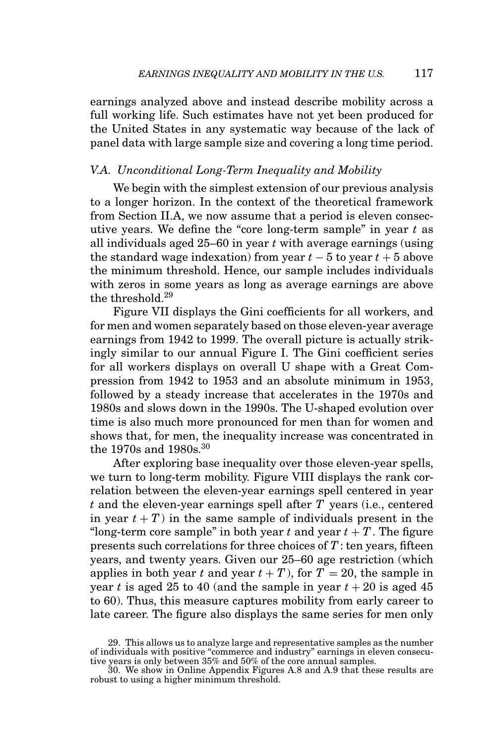earnings analyzed above and instead describe mobility across a full working life. Such estimates have not yet been produced for the United States in any systematic way because of the lack of panel data with large sample size and covering a long time period.

### *V.A. Unconditional Long-Term Inequality and Mobility*

We begin with the simplest extension of our previous analysis to a longer horizon. In the context of the theoretical framework from Section II.A, we now assume that a period is eleven consecutive years. We define the "core long-term sample" in year *t* as all individuals aged 25–60 in year *t* with average earnings (using the standard wage indexation) from year  $t - 5$  to year  $t + 5$  above the minimum threshold. Hence, our sample includes individuals with zeros in some years as long as average earnings are above the threshold.29

Figure VII displays the Gini coefficients for all workers, and for men and women separately based on those eleven-year average earnings from 1942 to 1999. The overall picture is actually strikingly similar to our annual Figure I. The Gini coefficient series for all workers displays on overall U shape with a Great Compression from 1942 to 1953 and an absolute minimum in 1953, followed by a steady increase that accelerates in the 1970s and 1980s and slows down in the 1990s. The U-shaped evolution over time is also much more pronounced for men than for women and shows that, for men, the inequality increase was concentrated in the 1970s and 1980s.30

After exploring base inequality over those eleven-year spells, we turn to long-term mobility. Figure VIII displays the rank correlation between the eleven-year earnings spell centered in year *t* and the eleven-year earnings spell after *T* years (i.e., centered in year  $t + T$ ) in the same sample of individuals present in the "long-term core sample" in both year  $t$  and year  $t + T$ . The figure presents such correlations for three choices of *T*: ten years, fifteen years, and twenty years. Given our 25–60 age restriction (which applies in both year *t* and year  $t + T$ , for  $T = 20$ , the sample in year *t* is aged 25 to 40 (and the sample in year  $t + 20$  is aged 45 to 60). Thus, this measure captures mobility from early career to late career. The figure also displays the same series for men only

<sup>29.</sup> This allows us to analyze large and representative samples as the number of individuals with positive "commerce and industry" earnings in eleven consecu-tive years is only between 35% and 50% of the core annual samples.

<sup>30.</sup> We show in Online Appendix Figures A.8 and A.9 that these results are robust to using a higher minimum threshold.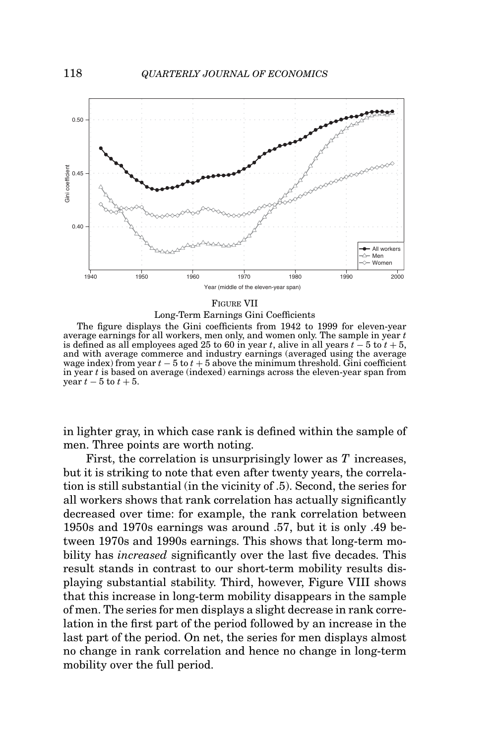

#### FIGURE VII

Long-Term Earnings Gini Coefficients

The figure displays the Gini coefficients from 1942 to 1999 for eleven-year average earnings for all workers, men only, and women only. The sample in year *t* is defined as all employees aged 25 to 60 in year *t*, alive in all years *t* − 5 to *t* + 5, and with average commerce and industry earnings (averaged using the average wage index) from year  $t - 5$  to  $t + 5$  above the minimum threshold. Gini coefficient in year *t* is based on average (indexed) earnings across the eleven-year span from year  $t-5$  to  $t+5$ .

in lighter gray, in which case rank is defined within the sample of men. Three points are worth noting.

First, the correlation is unsurprisingly lower as *T* increases, but it is striking to note that even after twenty years, the correlation is still substantial (in the vicinity of .5). Second, the series for all workers shows that rank correlation has actually significantly decreased over time: for example, the rank correlation between 1950s and 1970s earnings was around .57, but it is only .49 between 1970s and 1990s earnings. This shows that long-term mobility has *increased* significantly over the last five decades. This result stands in contrast to our short-term mobility results displaying substantial stability. Third, however, Figure VIII shows that this increase in long-term mobility disappears in the sample of men. The series for men displays a slight decrease in rank correlation in the first part of the period followed by an increase in the last part of the period. On net, the series for men displays almost no change in rank correlation and hence no change in long-term mobility over the full period.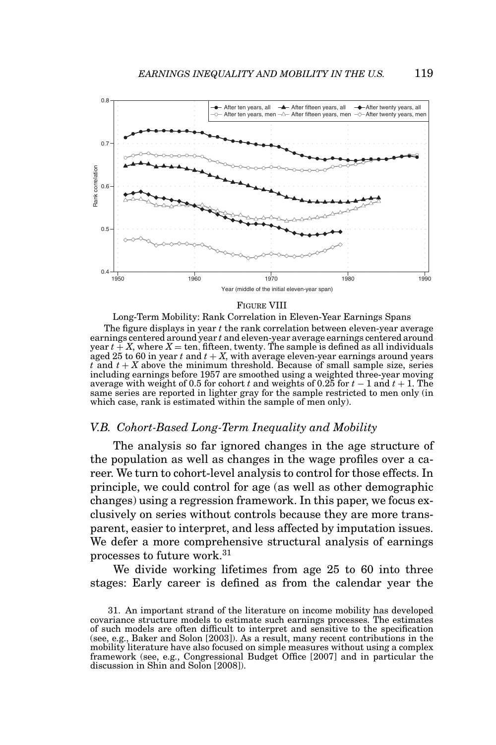

#### FIGURE VIII

Long-Term Mobility: Rank Correlation in Eleven-Year Earnings Spans

The figure displays in year *t* the rank correlation between eleven-year average earnings centered around year *t* and eleven-year average earnings centered around year  $t + X$ , where  $X = \text{ten}$ , fifteen, twenty. The sample is defined as all individuals aged 25 to 60 in year *t* and  $t + X$ , with average eleven-year earnings around years *t* and  $t + X$  above the minimum threshold. Because of small sample size, series including earnings before 1957 are smoothed using a weighted three-year moving average with weight of 0.5 for cohort *t* and weights of 0.25 for  $t - 1$  and  $t + 1$ . The same series are reported in lighter gray for the sample restricted to men only (in which case, rank is estimated within the sample of men only).

### *V.B. Cohort-Based Long-Term Inequality and Mobility*

The analysis so far ignored changes in the age structure of the population as well as changes in the wage profiles over a career. We turn to cohort-level analysis to control for those effects. In principle, we could control for age (as well as other demographic changes) using a regression framework. In this paper, we focus exclusively on series without controls because they are more transparent, easier to interpret, and less affected by imputation issues. We defer a more comprehensive structural analysis of earnings processes to future work.31

We divide working lifetimes from age 25 to 60 into three stages: Early career is defined as from the calendar year the

<sup>31.</sup> An important strand of the literature on income mobility has developed covariance structure models to estimate such earnings processes. The estimates of such models are often difficult to interpret and sensitive to the specification (see, e.g., Baker and Solon [2003]). As a result, many recent contributions in the mobility literature have also focused on simple measures without using a complex framework (see, e.g., Congressional Budget Office [2007] and in particular the discussion in Shin and Solon [2008]).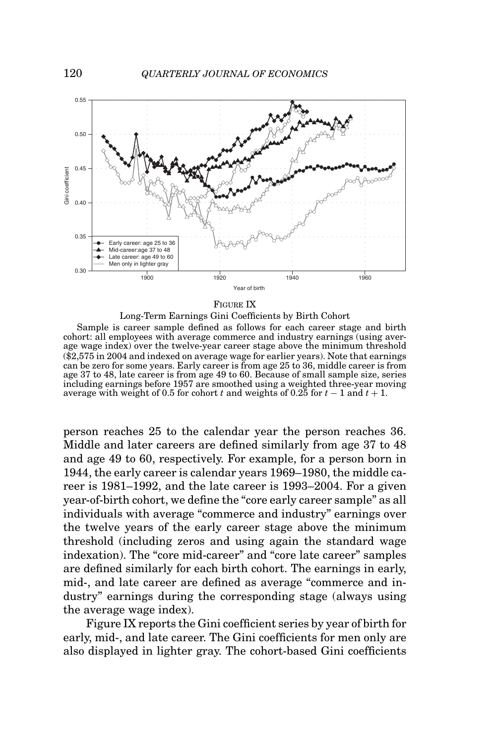

FIGURE IX

Long-Term Earnings Gini Coefficients by Birth Cohort

Sample is career sample defined as follows for each career stage and birth cohort: all employees with average commerce and industry earnings (using average wage index) over the twelve-year career stage above the minimum threshold (\$2,575 in 2004 and indexed on average wage for earlier years). Note that earnings can be zero for some years. Early career is from age 25 to 36, middle career is from age 37 to 48, late career is from age 49 to 60. Because of small sample size, series including earnings before 1957 are smoothed using a weighted three-year moving average with weight of 0.5 for cohort *t* and weights of 0.25 for  $t - 1$  and  $t + 1$ .

person reaches 25 to the calendar year the person reaches 36. Middle and later careers are defined similarly from age 37 to 48 and age 49 to 60, respectively. For example, for a person born in 1944, the early career is calendar years 1969–1980, the middle career is 1981–1992, and the late career is 1993–2004. For a given year-of-birth cohort, we define the "core early career sample" as all individuals with average "commerce and industry" earnings over the twelve years of the early career stage above the minimum threshold (including zeros and using again the standard wage indexation). The "core mid-career" and "core late career" samples are defined similarly for each birth cohort. The earnings in early, mid-, and late career are defined as average "commerce and industry" earnings during the corresponding stage (always using the average wage index).

Figure IX reports the Gini coefficient series by year of birth for early, mid-, and late career. The Gini coefficients for men only are also displayed in lighter gray. The cohort-based Gini coefficients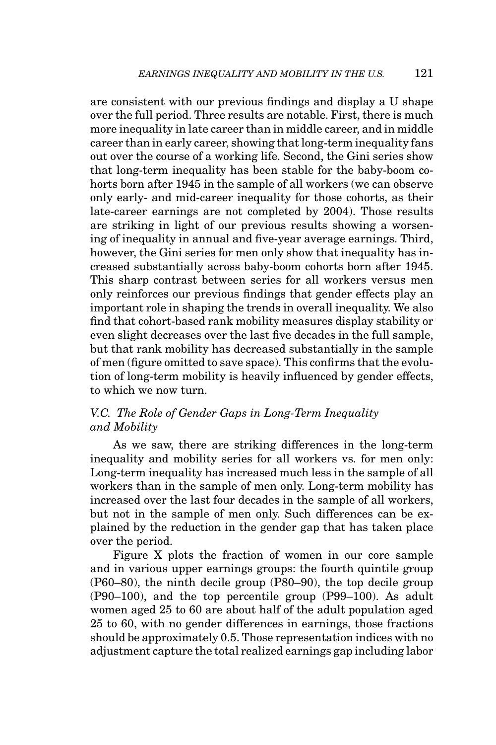are consistent with our previous findings and display a U shape over the full period. Three results are notable. First, there is much more inequality in late career than in middle career, and in middle career than in early career, showing that long-term inequality fans out over the course of a working life. Second, the Gini series show that long-term inequality has been stable for the baby-boom cohorts born after 1945 in the sample of all workers (we can observe only early- and mid-career inequality for those cohorts, as their late-career earnings are not completed by 2004). Those results are striking in light of our previous results showing a worsening of inequality in annual and five-year average earnings. Third, however, the Gini series for men only show that inequality has increased substantially across baby-boom cohorts born after 1945. This sharp contrast between series for all workers versus men only reinforces our previous findings that gender effects play an important role in shaping the trends in overall inequality. We also find that cohort-based rank mobility measures display stability or even slight decreases over the last five decades in the full sample, but that rank mobility has decreased substantially in the sample of men (figure omitted to save space). This confirms that the evolution of long-term mobility is heavily influenced by gender effects, to which we now turn.

## *V.C. The Role of Gender Gaps in Long-Term Inequality and Mobility*

As we saw, there are striking differences in the long-term inequality and mobility series for all workers vs. for men only: Long-term inequality has increased much less in the sample of all workers than in the sample of men only. Long-term mobility has increased over the last four decades in the sample of all workers, but not in the sample of men only. Such differences can be explained by the reduction in the gender gap that has taken place over the period.

Figure X plots the fraction of women in our core sample and in various upper earnings groups: the fourth quintile group (P60–80), the ninth decile group (P80–90), the top decile group (P90–100), and the top percentile group (P99–100). As adult women aged 25 to 60 are about half of the adult population aged 25 to 60, with no gender differences in earnings, those fractions should be approximately 0.5. Those representation indices with no adjustment capture the total realized earnings gap including labor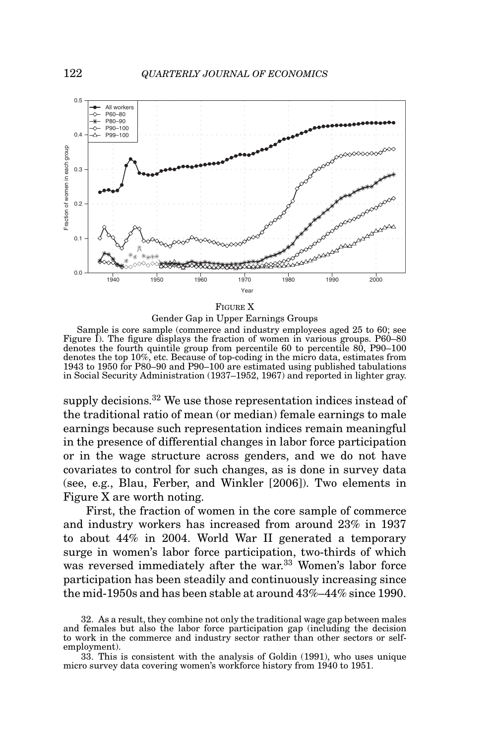

FIGURE X Gender Gap in Upper Earnings Groups

Sample is core sample (commerce and industry employees aged 25 to 60; see Figure I). The figure displays the fraction of women in various groups. P60–80 denotes the fourth quintile group from percentile 60 to percentile 80, P90–100 denotes the top 10%, etc. Because of top-coding in the micro data, estimates from<br>1943 to 1950 for P80–90 and P90–100 are estimated using published tabulations<br>in Social Security Administration (1937–1952, 1967) and report

supply decisions.<sup>32</sup> We use those representation indices instead of the traditional ratio of mean (or median) female earnings to male earnings because such representation indices remain meaningful in the presence of differential changes in labor force participation or in the wage structure across genders, and we do not have covariates to control for such changes, as is done in survey data (see, e.g., Blau, Ferber, and Winkler [2006]). Two elements in Figure X are worth noting.

First, the fraction of women in the core sample of commerce and industry workers has increased from around 23% in 1937 to about 44% in 2004. World War II generated a temporary surge in women's labor force participation, two-thirds of which was reversed immediately after the war.<sup>33</sup> Women's labor force participation has been steadily and continuously increasing since the mid-1950s and has been stable at around 43%–44% since 1990.

<sup>32.</sup> As a result, they combine not only the traditional wage gap between males and females but also the labor force participation gap (including the decision to work in the commerce and industry sector rather than other sectors or selfemployment).

<sup>33.</sup> This is consistent with the analysis of Goldin (1991), who uses unique micro survey data covering women's workforce history from 1940 to 1951.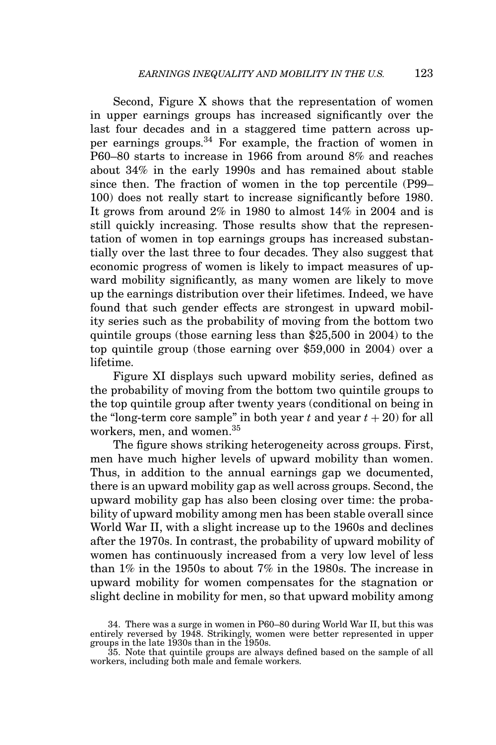Second, Figure X shows that the representation of women in upper earnings groups has increased significantly over the last four decades and in a staggered time pattern across upper earnings groups.34 For example, the fraction of women in P60–80 starts to increase in 1966 from around 8% and reaches about 34% in the early 1990s and has remained about stable since then. The fraction of women in the top percentile (P99– 100) does not really start to increase significantly before 1980. It grows from around 2% in 1980 to almost 14% in 2004 and is still quickly increasing. Those results show that the representation of women in top earnings groups has increased substantially over the last three to four decades. They also suggest that economic progress of women is likely to impact measures of upward mobility significantly, as many women are likely to move up the earnings distribution over their lifetimes. Indeed, we have found that such gender effects are strongest in upward mobility series such as the probability of moving from the bottom two quintile groups (those earning less than \$25,500 in 2004) to the top quintile group (those earning over \$59,000 in 2004) over a lifetime.

Figure XI displays such upward mobility series, defined as the probability of moving from the bottom two quintile groups to the top quintile group after twenty years (conditional on being in the "long-term core sample" in both year  $t$  and year  $t + 20$ ) for all workers, men, and women.35

The figure shows striking heterogeneity across groups. First, men have much higher levels of upward mobility than women. Thus, in addition to the annual earnings gap we documented, there is an upward mobility gap as well across groups. Second, the upward mobility gap has also been closing over time: the probability of upward mobility among men has been stable overall since World War II, with a slight increase up to the 1960s and declines after the 1970s. In contrast, the probability of upward mobility of women has continuously increased from a very low level of less than 1% in the 1950s to about 7% in the 1980s. The increase in upward mobility for women compensates for the stagnation or slight decline in mobility for men, so that upward mobility among

<sup>34.</sup> There was a surge in women in P60–80 during World War II, but this was entirely reversed by 1948. Strikingly, women were better represented in upper groups in the late 1930s than in the 1950s.

<sup>35.</sup> Note that quintile groups are always defined based on the sample of all workers, including both male and female workers.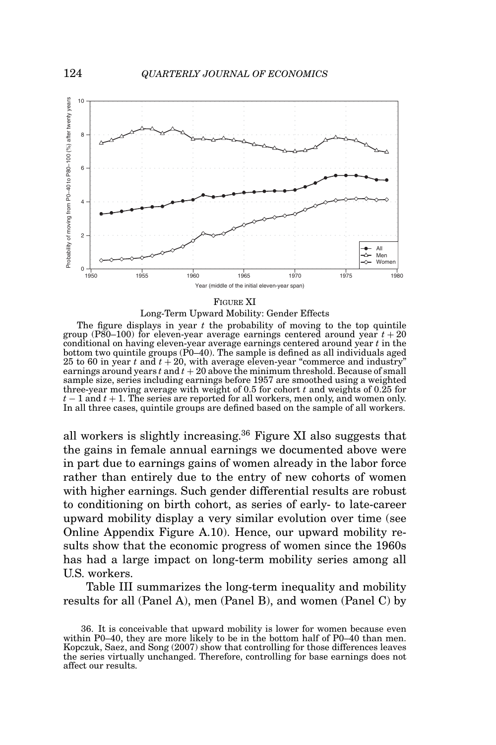

### FIGURE XI

Long-Term Upward Mobility: Gender Effects

The figure displays in year *t* the probability of moving to the top quintile group (P80–100) for eleven-year average earnings centered around year  $t + 20$ conditional on having eleven-year average earnings centered around year  $t$  in the bottom two quintile groups (P0–40). The sample is defined as all individuals aged 25 to 60 in year  $t$  and  $t + 20$ , with average eleven-ye sample size, series including earnings before 1957 are smoothed using a weighted three-year moving average with weight of 0.5 for cohort *t* and weights of 0.25 for  $t-1$  and  $t+1$ . The series are reported for all workers, men only, and women only. In all three cases, quintile groups are defined based on the sample of all workers.

all workers is slightly increasing.<sup>36</sup> Figure XI also suggests that the gains in female annual earnings we documented above were in part due to earnings gains of women already in the labor force rather than entirely due to the entry of new cohorts of women with higher earnings. Such gender differential results are robust to conditioning on birth cohort, as series of early- to late-career upward mobility display a very similar evolution over time (see Online Appendix Figure A.10). Hence, our upward mobility results show that the economic progress of women since the 1960s has had a large impact on long-term mobility series among all U.S. workers.

Table III summarizes the long-term inequality and mobility results for all (Panel A), men (Panel B), and women (Panel C) by

<sup>36.</sup> It is conceivable that upward mobility is lower for women because even within P0–40, they are more likely to be in the bottom half of P0–40 than men. Kopczuk, Saez, and Song (2007) show that controlling for those differences leaves the series virtually unchanged. Therefore, controlling for base earnings does not affect our results.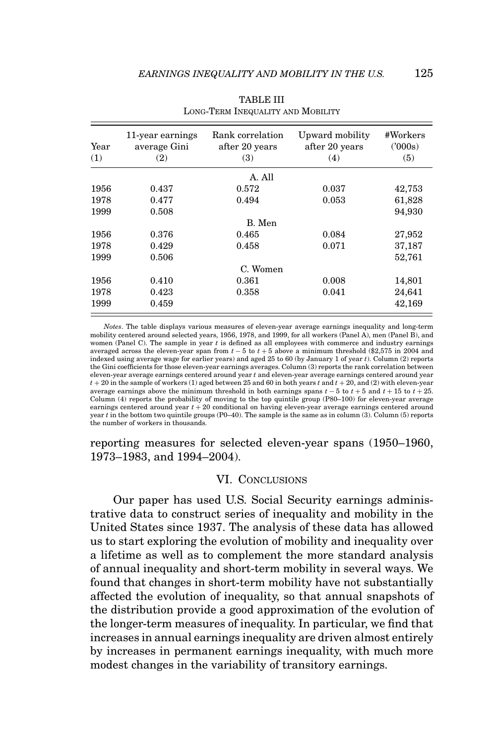| Year | 11-year earnings<br>average Gini | Rank correlation<br>after 20 years | Upward mobility<br>after 20 years | #Workers<br>(000s) |
|------|----------------------------------|------------------------------------|-----------------------------------|--------------------|
| (1)  | (2)                              | (3)                                | (4)                               | (5)                |
|      |                                  | A. All                             |                                   |                    |
| 1956 | 0.437                            | 0.572                              | 0.037                             | 42,753             |
| 1978 | 0.477                            | 0.494                              | 0.053                             | 61,828             |
| 1999 | 0.508                            |                                    |                                   | 94,930             |
|      |                                  | B. Men                             |                                   |                    |
| 1956 | 0.376                            | 0.465                              | 0.084                             | 27,952             |
| 1978 | 0.429                            | 0.458                              | 0.071                             | 37,187             |
| 1999 | 0.506                            |                                    |                                   | 52,761             |
|      |                                  | C. Women                           |                                   |                    |
| 1956 | 0.410                            | 0.361                              | 0.008                             | 14,801             |
| 1978 | 0.423                            | 0.358                              | 0.041                             | 24,641             |
| 1999 | 0.459                            |                                    |                                   | 42,169             |

TABLE III LONG-TERM INEQUALITY AND MOBILITY

*Notes*. The table displays various measures of eleven-year average earnings inequality and long-term mobility centered around selected years, 1956, 1978, and 1999, for all workers (Panel A), men (Panel B), and women (Panel C). The sample in year *t* is defined as all employees with commerce and industry earnings averaged across the eleven-year span from  $t - 5$  to  $t + 5$  above a minimum threshold (\$2,575 in 2004 and indexed using average wage for earlier years) and aged 25 to 60 (by January 1 of year *t*). Column (2) reports the Gini coefficients for those eleven-year earnings averages. Column (3) reports the rank correlation between eleven-year average earnings centered around year *t* and eleven-year average earnings centered around year *t* + 20 in the sample of workers (1) aged between 25 and 60 in both years *t* and *t* + 20, and (2) with eleven-year average earnings above the minimum threshold in both earnings spans  $t - 5$  to  $t + 5$  and  $t + 15$  to  $t + 25$ . Column (4) reports the probability of moving to the top quintile group (P80–100) for eleven-year average earnings centered around year *t* + 20 conditional on having eleven-year average earnings centered around year *t* in the bottom two quintile groups (P0–40). The sample is the same as in column (3). Column (5) reports the number of workers in thousands.

reporting measures for selected eleven-year spans (1950–1960, 1973–1983, and 1994–2004).

#### VI. CONCLUSIONS

Our paper has used U.S. Social Security earnings administrative data to construct series of inequality and mobility in the United States since 1937. The analysis of these data has allowed us to start exploring the evolution of mobility and inequality over a lifetime as well as to complement the more standard analysis of annual inequality and short-term mobility in several ways. We found that changes in short-term mobility have not substantially affected the evolution of inequality, so that annual snapshots of the distribution provide a good approximation of the evolution of the longer-term measures of inequality. In particular, we find that increases in annual earnings inequality are driven almost entirely by increases in permanent earnings inequality, with much more modest changes in the variability of transitory earnings.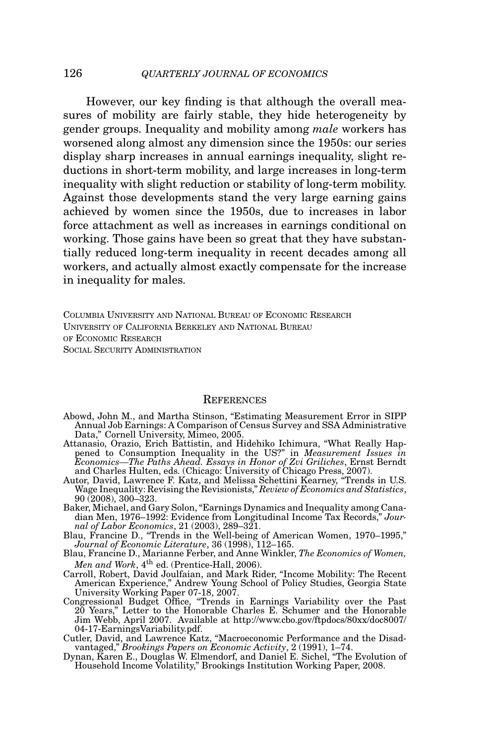However, our key finding is that although the overall measures of mobility are fairly stable, they hide heterogeneity by gender groups. Inequality and mobility among *male* workers has worsened along almost any dimension since the 1950s: our series display sharp increases in annual earnings inequality, slight reductions in short-term mobility, and large increases in long-term inequality with slight reduction or stability of long-term mobility. Against those developments stand the very large earning gains achieved by women since the 1950s, due to increases in labor force attachment as well as increases in earnings conditional on working. Those gains have been so great that they have substantially reduced long-term inequality in recent decades among all workers, and actually almost exactly compensate for the increase in inequality for males.

COLUMBIA UNIVERSITY AND NATIONAL BUREAU OF ECONOMIC RESEARCH UNIVERSITY OF CALIFORNIA BERKELEY AND NATIONAL BUREAU OF ECONOMIC RESEARCH SOCIAL SECURITY ADMINISTRATION

#### **REFERENCES**

- Abowd, John M., and Martha Stinson, "Estimating Measurement Error in SIPP Annual Job Earnings: A Comparison of Census Survey and SSA Administrative Data," Cornell University, Mimeo, 2005.
- Attanasio, Orazio, Erich Battistin, and Hidehiko Ichimura, "What Really Happened to Consumption Inequality in the US?" in *Measurement Issues in Economics—The Paths Ahead. Essays in Honor of Zvi Griliches*, Ernst Berndt
- and Charles Hulten, eds. (Chicago: University of Chicago Press, 2007). Autor, David, Lawrence F. Katz, and Melissa Schettini Kearney, "Trends in U.S. Wage Inequality: Revising the Revisionists," *Review of Economics and Statistics*, 90 (2008), 300–323.
- Baker, Michael, and Gary Solon, "Earnings Dynamics and Inequality among Cana-dian Men, 1976–1992: Evidence from Longitudinal Income Tax Records," *Journal of Labor Economics*, 21 (2003), 289–321. Blau, Francine D., "Trends in the Well-being of American Women, 1970–1995,"
- *Journal of Economic Literature*, 36 (1998), 112–165.
- Blau, Francine D., Marianne Ferber, and Anne Winkler, *The Economics of Women, Men and Work*, 4th ed. (Prentice-Hall, 2006).
- Carroll, Robert, David Joulfaian, and Mark Rider, "Income Mobility: The Recent American Experience," Andrew Young School of Policy Studies, Georgia State
- University Working Paper 07-18, 2007.<br>
Congressional Budget Office, "Trends in Earnings Variability over the Past<br>
20 Years," Letter to the Honorable Charles E. Schumer and the Honorable<br>
Jim Webb, April 2007. Available at
- Cutler, David, and Lawrence Katz, "Macroeconomic Performance and the Disad-vantaged," *Brookings Papers on Economic Activity*, 2 (1991), 1–74.
- Dynan, Karen E., Douglas W. Elmendorf, and Daniel E. Sichel, "The Evolution of Household Income Volatility," Brookings Institution Working Paper, 2008.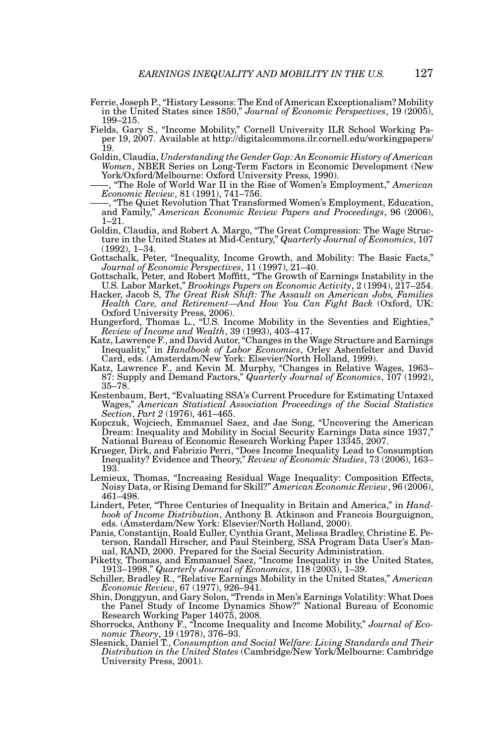- Ferrie, Joseph P., "History Lessons: The End of American Exceptionalism? Mobility in the United States since 1850," *Journal of Economic Perspectives*, 19 (2005), 199–215.
- Fields, Gary S., "Income Mobility," Cornell University ILR School Working Paper 19, 2007. Available at http://digitalcommons.ilr.cornell.edu/workingpapers/ 19.
- Goldin, Claudia, *Understanding the Gender Gap: An Economic History of American Women*, NBER Series on Long-Term Factors in Economic Development (New York/Oxford/Melbourne: Oxford University Press, 1990).
	- ——, "The Role of World War II in the Rise of Women's Employment," *American Economic Review*, 81 (1991), 741–756.
- ——, "The Quiet Revolution That Transformed Women's Employment, Education, and Family," *American Economic Review Papers and Proceedings*, 96 (2006), 1–21.
- Goldin, Claudia, and Robert A. Margo, "The Great Compression: The Wage Structure in the United States at Mid-Century," *Quarterly Journal of Economics*, 107 (1992), 1–34.
- Gottschalk, Peter, "Inequality, Income Growth, and Mobility: The Basic Facts," *Journal of Economic Perspectives*, 11 (1997), 21–40.
- Gottschalk, Peter, and Robert Moffitt, "The Growth of Earnings Instability in the U.S. Labor Market," *Brookings Papers on Economic Activity*, 2 (1994), 217–254.
- Hacker, Jacob S, *The Great Risk Shift: The Assault on American Jobs, Families Health Care, and Retirement—And How You Can Fight Back* (Oxford, UK:
- Oxford University Press, 2006). Hungerford, Thomas L., "U.S. Income Mobility in the Seventies and Eighties," *Review of Income and Wealth*, 39 (1993), 403–417.
- Katz, Lawrence F., and David Autor, "Changes in the Wage Structure and Earnings Inequality," in *Handbook of Labor Economics*, Orley Ashenfelter and David Card, eds. (Amsterdam/New York: Elsevier/North Holland, 1999).
- Katz, Lawrence F., and Kevin M. Murphy, "Changes in Relative Wages, 1963– 87: Supply and Demand Factors," *Quarterly Journal of Economics*, 107 (1992), 35–78.
- Kestenbaum, Bert, "Evaluating SSA's Current Procedure for Estimating Untaxed Wages," *American Statistical Association Proceedings of the Social Statistics Section*, *Part 2* (1976), 461–465.
- Kopczuk, Wojciech, Emmanuel Saez, and Jae Song, "Uncovering the American Dream: Inequality and Mobility in Social Security Earnings Data since 1937," National Bureau of Economic Research Working Paper 13345, 2007.
- Krueger, Dirk, and Fabrizio Perri, "Does Income Inequality Lead to Consumption Inequality? Evidence and Theory," *Review of Economic Studies*, 73 (2006), 163– 193.
- Lemieux, Thomas, "Increasing Residual Wage Inequality: Composition Effects, Noisy Data, or Rising Demand for Skill?" *American Economic Review*, 96 (2006), 461–498.
- Lindert, Peter, "Three Centuries of Inequality in Britain and America," in *Handbook of Income Distribution*, Anthony B. Atkinson and Francois Bourguignon, eds. (Amsterdam/New York: Elsevier/North Holland, 2000).
- Panis, Constantijn, Roald Euller, Cynthia Grant, Melissa Bradley, Christine E. Peterson, Randall Hirscher, and Paul Steinberg, SSA Program Data User's Man-
- ual, RAND, 2000. Prepared for the Social Security Administration. Piketty, Thomas, and Emmanuel Saez, "Income Inequality in the United States, 1913–1998," *Quarterly Journal of Economics*, 118 (2003), 1–39.
- Schiller, Bradley R., "Relative Earnings Mobility in the United States," *American Economic Review*, 67 (1977), 926–941.
- Shin, Donggyun, and Gary Solon, "Trends in Men's Earnings Volatility: What Does the Panel Study of Income Dynamics Show?" National Bureau of Economic Research Working Paper 14075, 2008.
- Shorrocks, Anthony F., "Income Inequality and Income Mobility," *Journal of Eco-nomic Theory*, 19 (1978), 376–93.
- Slesnick, Daniel T., *Consumption and Social Welfare: Living Standards and Their Distribution in the United States* (Cambridge/New York/Melbourne: Cambridge University Press, 2001).